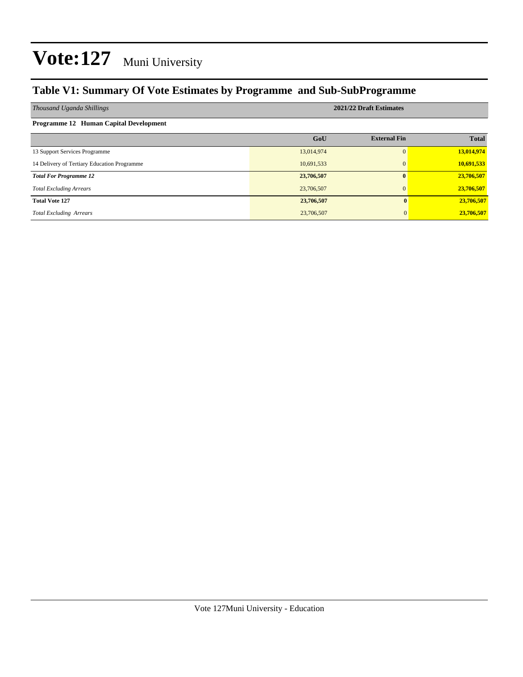#### **Table V1: Summary Of Vote Estimates by Programme and Sub-SubProgramme**

| Thousand Uganda Shillings                   | 2021/22 Draft Estimates |                     |              |  |  |  |  |  |  |  |  |  |
|---------------------------------------------|-------------------------|---------------------|--------------|--|--|--|--|--|--|--|--|--|
| Programme 12 Human Capital Development      |                         |                     |              |  |  |  |  |  |  |  |  |  |
|                                             | GoU                     | <b>External Fin</b> | <b>Total</b> |  |  |  |  |  |  |  |  |  |
| 13 Support Services Programme               | 13,014,974              | 0                   | 13,014,974   |  |  |  |  |  |  |  |  |  |
| 14 Delivery of Tertiary Education Programme | 10,691,533              | $\Omega$            | 10,691,533   |  |  |  |  |  |  |  |  |  |
| <b>Total For Programme 12</b>               | 23,706,507              | $\mathbf{0}$        | 23,706,507   |  |  |  |  |  |  |  |  |  |
| <b>Total Excluding Arrears</b>              | 23,706,507              | $\Omega$            | 23,706,507   |  |  |  |  |  |  |  |  |  |
| <b>Total Vote 127</b>                       | 23,706,507              |                     | 23,706,507   |  |  |  |  |  |  |  |  |  |
| <b>Total Excluding Arrears</b>              | 23,706,507              |                     | 23,706,507   |  |  |  |  |  |  |  |  |  |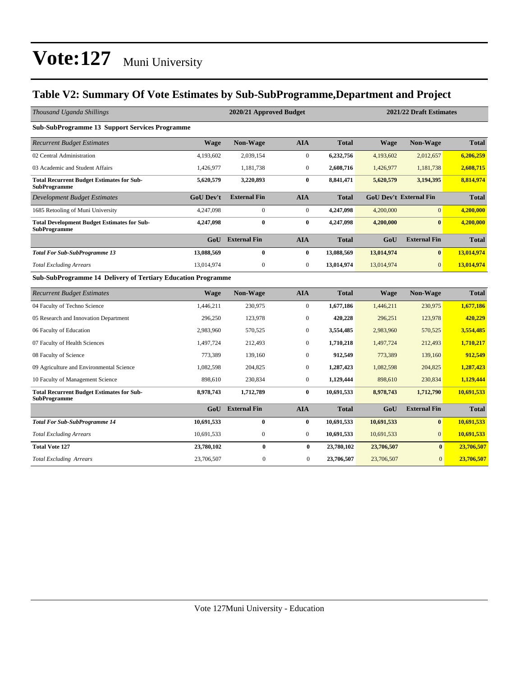#### **Table V2: Summary Of Vote Estimates by Sub-SubProgramme,Department and Project**

| Thousand Uganda Shillings                                                 |                  | 2020/21 Approved Budget |                  |              |            | 2021/22 Draft Estimates       |              |  |  |
|---------------------------------------------------------------------------|------------------|-------------------------|------------------|--------------|------------|-------------------------------|--------------|--|--|
| <b>Sub-SubProgramme 13 Support Services Programme</b>                     |                  |                         |                  |              |            |                               |              |  |  |
| <b>Recurrent Budget Estimates</b>                                         | <b>Wage</b>      | <b>Non-Wage</b>         | <b>AIA</b>       | <b>Total</b> | Wage       | <b>Non-Wage</b>               | <b>Total</b> |  |  |
| 02 Central Administration                                                 | 4,193,602        | 2,039,154               | $\boldsymbol{0}$ | 6,232,756    | 4,193,602  | 2,012,657                     | 6,206,259    |  |  |
| 03 Academic and Student Affairs                                           | 1,426,977        | 1,181,738               | $\overline{0}$   | 2,608,716    | 1,426,977  | 1,181,738                     | 2,608,715    |  |  |
| <b>Total Recurrent Budget Estimates for Sub-</b><br><b>SubProgramme</b>   | 5,620,579        | 3,220,893               | $\mathbf{0}$     | 8,841,471    | 5,620,579  | 3,194,395                     | 8,814,974    |  |  |
| <b>Development Budget Estimates</b>                                       | <b>GoU Dev't</b> | <b>External Fin</b>     | <b>AIA</b>       | <b>Total</b> |            | <b>GoU Dev't External Fin</b> | <b>Total</b> |  |  |
| 1685 Retooling of Muni University                                         | 4,247,098        | $\overline{0}$          | $\boldsymbol{0}$ | 4,247,098    | 4,200,000  | $\vert 0 \vert$               | 4,200,000    |  |  |
| <b>Total Development Budget Estimates for Sub-</b><br><b>SubProgramme</b> | 4,247,098        | $\bf{0}$                | $\bf{0}$         | 4,247,098    | 4,200,000  | $\mathbf{0}$                  | 4,200,000    |  |  |
|                                                                           | GoU              | <b>External Fin</b>     | <b>AIA</b>       | <b>Total</b> | GoU        | <b>External Fin</b>           | <b>Total</b> |  |  |
| <b>Total For Sub-SubProgramme 13</b>                                      | 13,088,569       | $\bf{0}$                | $\bf{0}$         | 13,088,569   | 13,014,974 | $\mathbf{0}$                  | 13,014,974   |  |  |
| <b>Total Excluding Arrears</b>                                            | 13.014.974       | $\mathbf{0}$            | $\overline{0}$   | 13,014,974   | 13,014,974 | $\overline{0}$                | 13,014,974   |  |  |
| <b>Sub-SubProgramme 14 Delivery of Tertiary Education Programme</b>       |                  |                         |                  |              |            |                               |              |  |  |
| <b>Recurrent Budget Estimates</b>                                         | <b>Wage</b>      | Non-Wage                | <b>AIA</b>       | <b>Total</b> | Wage       | Non-Wage                      | <b>Total</b> |  |  |
| 04 Faculty of Techno Science                                              | 1,446,211        | 230,975                 | $\boldsymbol{0}$ | 1,677,186    | 1,446,211  | 230,975                       | 1,677,186    |  |  |
| 05 Research and Innovation Department                                     | 296,250          | 123,978                 | $\boldsymbol{0}$ | 420,228      | 296,251    | 123,978                       | 420,229      |  |  |
| 06 Faculty of Education                                                   | 2,983,960        | 570,525                 | $\mathbf{0}$     | 3,554,485    | 2,983,960  | 570,525                       | 3,554,485    |  |  |
| 07 Faculty of Health Sciences                                             | 1.497.724        | 212,493                 | $\theta$         | 1,710,218    | 1,497,724  | 212,493                       | 1,710,217    |  |  |
| 08 Faculty of Science                                                     | 773,389          | 139,160                 | $\boldsymbol{0}$ | 912,549      | 773,389    | 139,160                       | 912,549      |  |  |
| 09 Agriculture and Environmental Science                                  | 1,082,598        | 204,825                 | $\mathbf{0}$     | 1,287,423    | 1,082,598  | 204,825                       | 1,287,423    |  |  |
| 10 Faculty of Management Science                                          | 898,610          | 230,834                 | $\mathbf{0}$     | 1,129,444    | 898,610    | 230,834                       | 1,129,444    |  |  |
| <b>Total Recurrent Budget Estimates for Sub-</b><br><b>SubProgramme</b>   | 8,978,743        | 1,712,789               | $\bf{0}$         | 10,691,533   | 8,978,743  | 1,712,790                     | 10,691,533   |  |  |
|                                                                           | GoU              | <b>External Fin</b>     | <b>AIA</b>       | <b>Total</b> | GoU        | <b>External Fin</b>           | <b>Total</b> |  |  |
| <b>Total For Sub-SubProgramme 14</b>                                      | 10,691,533       | $\bf{0}$                | $\bf{0}$         | 10,691,533   | 10,691,533 | $\bf{0}$                      | 10,691,533   |  |  |
| <b>Total Excluding Arrears</b>                                            | 10,691,533       | $\overline{0}$          | $\mathbf{0}$     | 10,691,533   | 10,691,533 | $\Omega$                      | 10,691,533   |  |  |
| <b>Total Vote 127</b>                                                     | 23,780,102       | $\bf{0}$                | $\bf{0}$         | 23,780,102   | 23,706,507 | $\bf{0}$                      | 23,706,507   |  |  |
| <b>Total Excluding Arrears</b>                                            | 23,706,507       | $\mathbf{0}$            | $\mathbf{0}$     | 23,706,507   | 23,706,507 | $\overline{0}$                | 23,706,507   |  |  |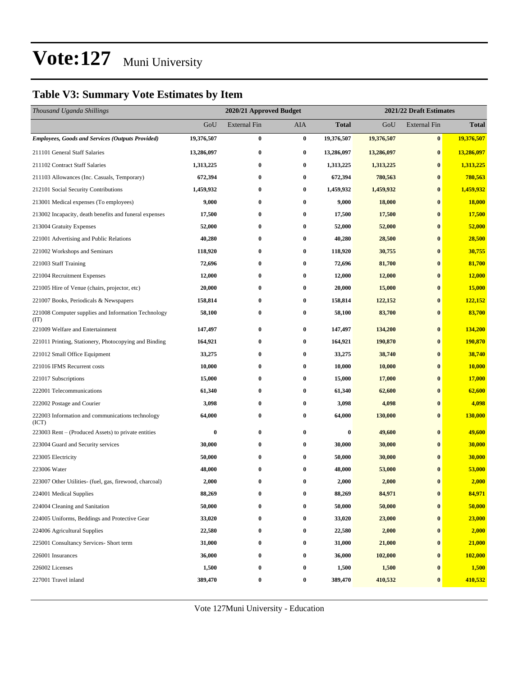#### **Table V3: Summary Vote Estimates by Item**

| Thousand Uganda Shillings                                   |            | 2020/21 Approved Budget |                  |              | 2021/22 Draft Estimates |                     |              |  |
|-------------------------------------------------------------|------------|-------------------------|------------------|--------------|-------------------------|---------------------|--------------|--|
|                                                             | GoU        | <b>External Fin</b>     | AIA              | <b>Total</b> | GoU                     | <b>External Fin</b> | <b>Total</b> |  |
| <b>Employees, Goods and Services (Outputs Provided)</b>     | 19,376,507 | $\bf{0}$                | $\bf{0}$         | 19,376,507   | 19,376,507              | $\bf{0}$            | 19,376,507   |  |
| 211101 General Staff Salaries                               | 13,286,097 | $\bf{0}$                | $\bf{0}$         | 13,286,097   | 13,286,097              | $\bf{0}$            | 13,286,097   |  |
| 211102 Contract Staff Salaries                              | 1,313,225  | $\bf{0}$                | $\bf{0}$         | 1,313,225    | 1,313,225               | $\bf{0}$            | 1,313,225    |  |
| 211103 Allowances (Inc. Casuals, Temporary)                 | 672,394    | $\bf{0}$                | $\bf{0}$         | 672,394      | 780,563                 | $\bf{0}$            | 780,563      |  |
| 212101 Social Security Contributions                        | 1,459,932  | $\bf{0}$                | $\bf{0}$         | 1,459,932    | 1,459,932               | $\bf{0}$            | 1,459,932    |  |
| 213001 Medical expenses (To employees)                      | 9,000      | $\bf{0}$                | $\bf{0}$         | 9,000        | 18,000                  | $\bf{0}$            | 18,000       |  |
| 213002 Incapacity, death benefits and funeral expenses      | 17,500     | $\bf{0}$                | $\bf{0}$         | 17,500       | 17,500                  | $\bf{0}$            | 17,500       |  |
| 213004 Gratuity Expenses                                    | 52,000     | $\bf{0}$                | $\bf{0}$         | 52,000       | 52,000                  | $\bf{0}$            | 52,000       |  |
| 221001 Advertising and Public Relations                     | 40,280     | $\bf{0}$                | $\bf{0}$         | 40,280       | 28,500                  | $\bf{0}$            | 28,500       |  |
| 221002 Workshops and Seminars                               | 118,920    | $\bf{0}$                | 0                | 118,920      | 30,755                  | $\bf{0}$            | 30,755       |  |
| 221003 Staff Training                                       | 72,696     | $\bf{0}$                | $\bf{0}$         | 72,696       | 81,700                  | $\bf{0}$            | 81,700       |  |
| 221004 Recruitment Expenses                                 | 12,000     | $\bf{0}$                | $\bf{0}$         | 12,000       | 12,000                  | $\bf{0}$            | 12,000       |  |
| 221005 Hire of Venue (chairs, projector, etc)               | 20,000     | $\bf{0}$                | $\bf{0}$         | 20,000       | 15,000                  | $\bf{0}$            | 15,000       |  |
| 221007 Books, Periodicals & Newspapers                      | 158,814    | $\bf{0}$                | $\bf{0}$         | 158,814      | 122,152                 | $\bf{0}$            | 122,152      |  |
| 221008 Computer supplies and Information Technology<br>(TT) | 58,100     | $\bf{0}$                | $\bf{0}$         | 58,100       | 83,700                  | $\bf{0}$            | 83,700       |  |
| 221009 Welfare and Entertainment                            | 147,497    | $\bf{0}$                | $\bf{0}$         | 147,497      | 134,200                 | $\bf{0}$            | 134,200      |  |
| 221011 Printing, Stationery, Photocopying and Binding       | 164,921    | $\bf{0}$                | $\bf{0}$         | 164,921      | 190,870                 | $\bf{0}$            | 190,870      |  |
| 221012 Small Office Equipment                               | 33,275     | $\bf{0}$                | $\bf{0}$         | 33,275       | 38,740                  | $\bf{0}$            | 38,740       |  |
| 221016 IFMS Recurrent costs                                 | 10,000     | $\bf{0}$                | 0                | 10,000       | 10,000                  | $\bf{0}$            | 10,000       |  |
| 221017 Subscriptions                                        | 15,000     | $\bf{0}$                | $\bf{0}$         | 15,000       | 17,000                  | $\bf{0}$            | 17,000       |  |
| 222001 Telecommunications                                   | 61,340     | $\bf{0}$                | $\bf{0}$         | 61,340       | 62,600                  | $\bf{0}$            | 62,600       |  |
| 222002 Postage and Courier                                  | 3,098      | $\bf{0}$                | 0                | 3,098        | 4,098                   | $\bf{0}$            | 4,098        |  |
| 222003 Information and communications technology<br>(ICT)   | 64,000     | $\bf{0}$                | $\bf{0}$         | 64,000       | 130,000                 | $\bf{0}$            | 130,000      |  |
| 223003 Rent – (Produced Assets) to private entities         | $\bf{0}$   | $\bf{0}$                | $\bf{0}$         | $\bf{0}$     | 49,600                  | $\bf{0}$            | 49,600       |  |
| 223004 Guard and Security services                          | 30,000     | $\bf{0}$                | 0                | 30,000       | 30,000                  | $\bf{0}$            | 30,000       |  |
| 223005 Electricity                                          | 50,000     | $\bf{0}$                | $\bf{0}$         | 50,000       | 30,000                  | $\bf{0}$            | 30,000       |  |
| 223006 Water                                                | 48,000     | $\bf{0}$                | $\bf{0}$         | 48,000       | 53,000                  | $\bf{0}$            | 53,000       |  |
| 223007 Other Utilities- (fuel, gas, firewood, charcoal)     | 2,000      | $\bf{0}$                | $\bf{0}$         | 2,000        | 2,000                   | $\bf{0}$            | 2,000        |  |
| 224001 Medical Supplies                                     | 88,269     | $\bf{0}$                | $\bf{0}$         | 88,269       | 84,971                  | $\pmb{0}$           | 84,971       |  |
| 224004 Cleaning and Sanitation                              | 50,000     | $\bf{0}$                | 0                | 50,000       | 50,000                  | $\bf{0}$            | 50,000       |  |
| 224005 Uniforms, Beddings and Protective Gear               | 33,020     | $\bf{0}$                | $\bf{0}$         | 33,020       | 23,000                  | $\bf{0}$            | 23,000       |  |
| 224006 Agricultural Supplies                                | 22,580     | $\bf{0}$                | $\bf{0}$         | 22,580       | 2,000                   | $\bf{0}$            | 2,000        |  |
| 225001 Consultancy Services- Short term                     | 31,000     | $\bf{0}$                | $\bf{0}$         | 31,000       | 21,000                  | $\bf{0}$            | 21,000       |  |
| 226001 Insurances                                           | 36,000     | $\bf{0}$                | $\bf{0}$         | 36,000       | 102,000                 | $\bf{0}$            | 102,000      |  |
| 226002 Licenses                                             | 1,500      | $\bf{0}$                | $\bf{0}$         | 1,500        | 1,500                   | $\bf{0}$            | 1,500        |  |
| 227001 Travel inland                                        | 389,470    | $\boldsymbol{0}$        | $\boldsymbol{0}$ | 389,470      | 410,532                 | $\bf{0}$            | 410,532      |  |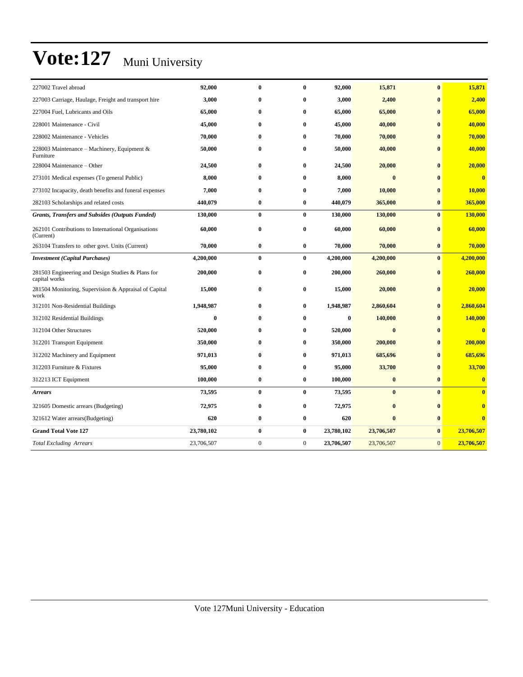| 227002 Travel abroad                                               | 92,000     | $\bf{0}$     | 0              | 92,000     | 15,871     | $\bf{0}$       | 15,871                  |
|--------------------------------------------------------------------|------------|--------------|----------------|------------|------------|----------------|-------------------------|
| 227003 Carriage, Haulage, Freight and transport hire               | 3,000      | $\bf{0}$     | $\bf{0}$       | 3,000      | 2,400      | $\bf{0}$       | 2,400                   |
| 227004 Fuel, Lubricants and Oils                                   | 65,000     | $\bf{0}$     | $\bf{0}$       | 65,000     | 65,000     | $\bf{0}$       | 65,000                  |
| 228001 Maintenance - Civil                                         | 45,000     | $\bf{0}$     | $\bf{0}$       | 45,000     | 40,000     | $\mathbf{0}$   | 40,000                  |
| 228002 Maintenance - Vehicles                                      | 70,000     | $\bf{0}$     | 0              | 70,000     | 70,000     | $\mathbf{0}$   | 70,000                  |
| 228003 Maintenance – Machinery, Equipment &<br>Furniture           | 50,000     | $\bf{0}$     | 0              | 50,000     | 40,000     | $\bf{0}$       | 40,000                  |
| 228004 Maintenance - Other                                         | 24,500     | $\bf{0}$     | $\bf{0}$       | 24,500     | 20,000     | $\bf{0}$       | 20,000                  |
| 273101 Medical expenses (To general Public)                        | 8,000      | $\bf{0}$     | 0              | 8,000      | $\bf{0}$   | $\bf{0}$       | $\overline{\mathbf{0}}$ |
| 273102 Incapacity, death benefits and funeral expenses             | 7,000      | $\mathbf{0}$ | 0              | 7,000      | 10,000     | $\mathbf{0}$   | 10,000                  |
| 282103 Scholarships and related costs                              | 440,079    | $\bf{0}$     | $\bf{0}$       | 440,079    | 365,000    | $\bf{0}$       | 365,000                 |
| <b>Grants, Transfers and Subsides (Outputs Funded)</b>             | 130,000    | $\bf{0}$     | $\bf{0}$       | 130,000    | 130,000    | $\bf{0}$       | 130,000                 |
| 262101 Contributions to International Organisations<br>(Current)   | 60,000     | $\bf{0}$     | $\bf{0}$       | 60,000     | 60,000     | $\bf{0}$       | 60,000                  |
| 263104 Transfers to other govt. Units (Current)                    | 70,000     | $\bf{0}$     | $\bf{0}$       | 70,000     | 70,000     | $\bf{0}$       | 70,000                  |
| <b>Investment</b> (Capital Purchases)                              | 4,200,000  | $\pmb{0}$    | $\bf{0}$       | 4,200,000  | 4,200,000  | $\bf{0}$       | 4,200,000               |
| 281503 Engineering and Design Studies & Plans for<br>capital works | 200,000    | $\bf{0}$     | $\bf{0}$       | 200,000    | 260,000    | $\bf{0}$       | 260,000                 |
| 281504 Monitoring, Supervision & Appraisal of Capital<br>work      | 15,000     | $\bf{0}$     | $\bf{0}$       | 15,000     | 20,000     | $\bf{0}$       | 20,000                  |
| 312101 Non-Residential Buildings                                   | 1,948,987  | $\bf{0}$     | $\bf{0}$       | 1,948,987  | 2,860,604  | $\bf{0}$       | 2,860,604               |
| 312102 Residential Buildings                                       | $\bf{0}$   | $\bf{0}$     | $\bf{0}$       | $\bf{0}$   | 140,000    | $\bf{0}$       | 140,000                 |
| 312104 Other Structures                                            | 520,000    | $\mathbf{0}$ | 0              | 520,000    | $\bf{0}$   | $\mathbf{0}$   | $\bf{0}$                |
| 312201 Transport Equipment                                         | 350,000    | $\bf{0}$     | 0              | 350,000    | 200,000    | $\mathbf{0}$   | 200,000                 |
| 312202 Machinery and Equipment                                     | 971,013    | $\bf{0}$     | $\bf{0}$       | 971,013    | 685,696    | $\bf{0}$       | 685,696                 |
| 312203 Furniture & Fixtures                                        | 95,000     | $\bf{0}$     | $\bf{0}$       | 95,000     | 33,700     | $\bf{0}$       | 33,700                  |
| 312213 ICT Equipment                                               | 100,000    | $\bf{0}$     | $\bf{0}$       | 100,000    | $\bf{0}$   | $\bf{0}$       | $\overline{\mathbf{0}}$ |
| <b>Arrears</b>                                                     | 73,595     | $\bf{0}$     | $\bf{0}$       | 73,595     | $\bf{0}$   | $\bf{0}$       | $\bf{0}$                |
| 321605 Domestic arrears (Budgeting)                                | 72,975     | $\bf{0}$     | $\bf{0}$       | 72,975     | $\bf{0}$   | $\bf{0}$       | $\bf{0}$                |
| 321612 Water arrears(Budgeting)                                    | 620        | $\bf{0}$     | $\bf{0}$       | 620        | $\bf{0}$   | $\bf{0}$       | $\bf{0}$                |
| <b>Grand Total Vote 127</b>                                        | 23,780,102 | $\bf{0}$     | $\bf{0}$       | 23,780,102 | 23,706,507 | $\bf{0}$       | 23,706,507              |
| <b>Total Excluding Arrears</b>                                     | 23,706,507 | $\mathbf{0}$ | $\overline{0}$ | 23,706,507 | 23,706,507 | $\overline{0}$ | 23,706,507              |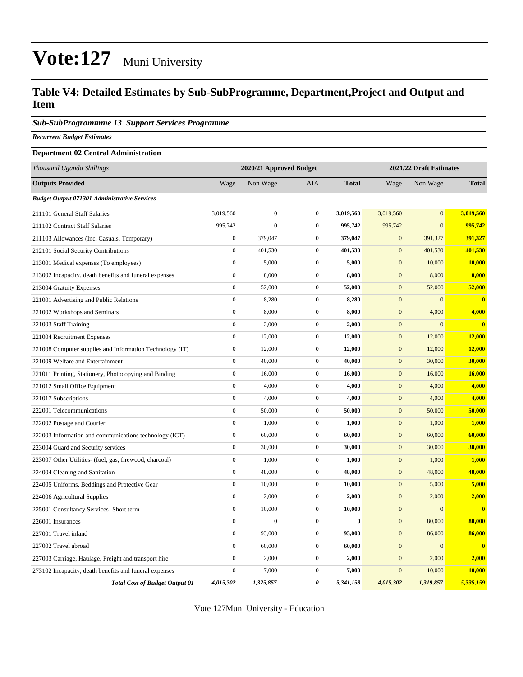#### **Table V4: Detailed Estimates by Sub-SubProgramme, Department,Project and Output and Item**

#### *Sub-SubProgrammme 13 Support Services Programme*

*Recurrent Budget Estimates*

#### **Department 02 Central Administration**

| Thousand Uganda Shillings                                |                  | 2020/21 Approved Budget |                  |              |                  | 2021/22 Draft Estimates |               |  |  |
|----------------------------------------------------------|------------------|-------------------------|------------------|--------------|------------------|-------------------------|---------------|--|--|
| <b>Outputs Provided</b>                                  | Wage             | Non Wage                | <b>AIA</b>       | <b>Total</b> | Wage             | Non Wage                | <b>Total</b>  |  |  |
| <b>Budget Output 071301 Administrative Services</b>      |                  |                         |                  |              |                  |                         |               |  |  |
| 211101 General Staff Salaries                            | 3,019,560        | $\boldsymbol{0}$        | $\mathbf{0}$     | 3,019,560    | 3,019,560        | $\Omega$                | 3,019,560     |  |  |
| 211102 Contract Staff Salaries                           | 995,742          | $\mathbf{0}$            | $\mathbf{0}$     | 995,742      | 995,742          | $\overline{0}$          | 995,742       |  |  |
| 211103 Allowances (Inc. Casuals, Temporary)              | $\boldsymbol{0}$ | 379,047                 | $\mathbf{0}$     | 379,047      | $\mathbf{0}$     | 391,327                 | 391,327       |  |  |
| 212101 Social Security Contributions                     | $\boldsymbol{0}$ | 401,530                 | $\mathbf{0}$     | 401,530      | $\mathbf{0}$     | 401,530                 | 401,530       |  |  |
| 213001 Medical expenses (To employees)                   | $\boldsymbol{0}$ | 5,000                   | $\mathbf{0}$     | 5,000        | $\mathbf{0}$     | 10,000                  | <b>10,000</b> |  |  |
| 213002 Incapacity, death benefits and funeral expenses   | $\boldsymbol{0}$ | 8,000                   | $\mathbf{0}$     | 8,000        | $\mathbf{0}$     | 8,000                   | 8,000         |  |  |
| 213004 Gratuity Expenses                                 | $\boldsymbol{0}$ | 52,000                  | $\mathbf{0}$     | 52,000       | $\mathbf{0}$     | 52,000                  | 52,000        |  |  |
| 221001 Advertising and Public Relations                  | $\mathbf{0}$     | 8,280                   | $\mathbf{0}$     | 8,280        | $\boldsymbol{0}$ | $\overline{0}$          | $\bf{0}$      |  |  |
| 221002 Workshops and Seminars                            | $\boldsymbol{0}$ | 8,000                   | $\boldsymbol{0}$ | 8,000        | $\mathbf{0}$     | 4,000                   | 4,000         |  |  |
| 221003 Staff Training                                    | $\boldsymbol{0}$ | 2,000                   | $\mathbf{0}$     | 2,000        | $\mathbf{0}$     | $\overline{0}$          | $\bf{0}$      |  |  |
| 221004 Recruitment Expenses                              | $\boldsymbol{0}$ | 12,000                  | $\mathbf{0}$     | 12,000       | $\mathbf{0}$     | 12,000                  | 12,000        |  |  |
| 221008 Computer supplies and Information Technology (IT) | $\boldsymbol{0}$ | 12,000                  | $\mathbf{0}$     | 12,000       | $\mathbf{0}$     | 12,000                  | <b>12,000</b> |  |  |
| 221009 Welfare and Entertainment                         | $\mathbf{0}$     | 40,000                  | $\mathbf{0}$     | 40,000       | $\mathbf{0}$     | 30,000                  | 30,000        |  |  |
| 221011 Printing, Stationery, Photocopying and Binding    | $\boldsymbol{0}$ | 16,000                  | $\mathbf{0}$     | 16,000       | $\mathbf{0}$     | 16,000                  | <b>16,000</b> |  |  |
| 221012 Small Office Equipment                            | $\mathbf{0}$     | 4,000                   | $\mathbf{0}$     | 4,000        | $\overline{0}$   | 4,000                   | 4,000         |  |  |
| 221017 Subscriptions                                     | $\boldsymbol{0}$ | 4,000                   | $\mathbf{0}$     | 4,000        | $\mathbf{0}$     | 4,000                   | 4,000         |  |  |
| 222001 Telecommunications                                | $\boldsymbol{0}$ | 50,000                  | $\mathbf 0$      | 50,000       | $\mathbf{0}$     | 50,000                  | 50,000        |  |  |
| 222002 Postage and Courier                               | $\boldsymbol{0}$ | 1,000                   | $\mathbf{0}$     | 1,000        | $\mathbf{0}$     | 1,000                   | 1,000         |  |  |
| 222003 Information and communications technology (ICT)   | $\boldsymbol{0}$ | 60,000                  | $\mathbf{0}$     | 60,000       | $\mathbf{0}$     | 60,000                  | 60,000        |  |  |
| 223004 Guard and Security services                       | $\boldsymbol{0}$ | 30,000                  | $\mathbf 0$      | 30,000       | $\mathbf{0}$     | 30,000                  | 30,000        |  |  |
| 223007 Other Utilities- (fuel, gas, firewood, charcoal)  | $\boldsymbol{0}$ | 1,000                   | $\mathbf{0}$     | 1,000        | $\mathbf{0}$     | 1,000                   | 1,000         |  |  |
| 224004 Cleaning and Sanitation                           | $\mathbf{0}$     | 48,000                  | $\overline{0}$   | 48,000       | $\boldsymbol{0}$ | 48,000                  | 48,000        |  |  |
| 224005 Uniforms, Beddings and Protective Gear            | $\boldsymbol{0}$ | 10,000                  | $\boldsymbol{0}$ | 10,000       | $\mathbf{0}$     | 5,000                   | 5,000         |  |  |
| 224006 Agricultural Supplies                             | $\boldsymbol{0}$ | 2,000                   | $\mathbf 0$      | 2,000        | $\mathbf{0}$     | 2,000                   | 2,000         |  |  |
| 225001 Consultancy Services- Short term                  | $\boldsymbol{0}$ | 10,000                  | $\mathbf{0}$     | 10,000       | $\boldsymbol{0}$ | $\overline{0}$          | $\bf{0}$      |  |  |
| 226001 Insurances                                        | $\boldsymbol{0}$ | $\overline{0}$          | $\mathbf 0$      | $\bf{0}$     | $\mathbf{0}$     | 80,000                  | 80,000        |  |  |
| 227001 Travel inland                                     | $\mathbf{0}$     | 93,000                  | $\mathbf 0$      | 93,000       | $\mathbf{0}$     | 86,000                  | 86,000        |  |  |
| 227002 Travel abroad                                     | $\mathbf{0}$     | 60,000                  | $\mathbf{0}$     | 60,000       | $\overline{0}$   | $\overline{0}$          | $\mathbf{0}$  |  |  |
| 227003 Carriage, Haulage, Freight and transport hire     | $\mathbf{0}$     | 2,000                   | $\overline{0}$   | 2,000        | $\overline{0}$   | 2,000                   | 2,000         |  |  |
| 273102 Incapacity, death benefits and funeral expenses   | $\boldsymbol{0}$ | 7,000                   | $\mathbf{0}$     | 7,000        | $\mathbf{0}$     | 10,000                  | 10,000        |  |  |
| <b>Total Cost of Budget Output 01</b>                    | 4,015,302        | 1,325,857               | 0                | 5,341,158    | 4,015,302        | 1,319,857               | 5,335,159     |  |  |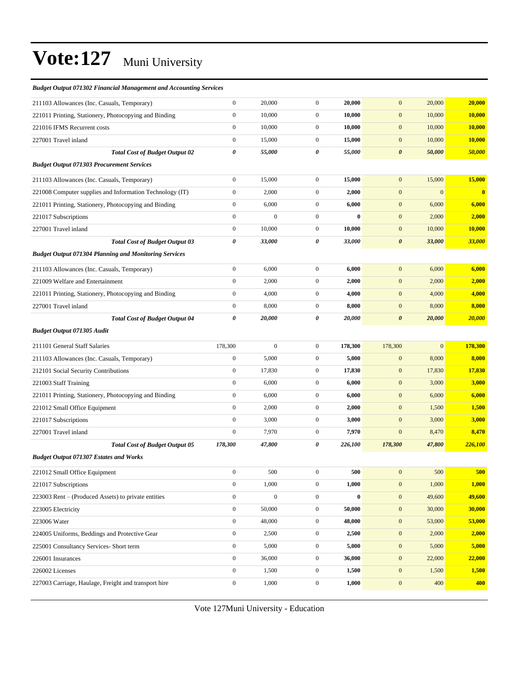| <b>Budget Output 071302 Financial Management and Accounting Services</b> |                  |                  |                  |          |                       |              |          |
|--------------------------------------------------------------------------|------------------|------------------|------------------|----------|-----------------------|--------------|----------|
| 211103 Allowances (Inc. Casuals, Temporary)                              | $\mathbf{0}$     | 20,000           | $\mathbf{0}$     | 20,000   | $\mathbf{0}$          | 20,000       | 20,000   |
| 221011 Printing, Stationery, Photocopying and Binding                    | $\boldsymbol{0}$ | 10,000           | $\mathbf{0}$     | 10,000   | $\mathbf{0}$          | 10,000       | 10,000   |
| 221016 IFMS Recurrent costs                                              | $\mathbf{0}$     | 10,000           | $\mathbf{0}$     | 10,000   | $\mathbf{0}$          | 10,000       | 10,000   |
| 227001 Travel inland                                                     | $\mathbf{0}$     | 15,000           | $\mathbf{0}$     | 15,000   | $\mathbf{0}$          | 10,000       | 10,000   |
| <b>Total Cost of Budget Output 02</b>                                    | $\pmb{\theta}$   | 55,000           | 0                | 55,000   | $\boldsymbol{\theta}$ | 50,000       | 50,000   |
| <b>Budget Output 071303 Procurement Services</b>                         |                  |                  |                  |          |                       |              |          |
| 211103 Allowances (Inc. Casuals, Temporary)                              | $\mathbf{0}$     | 15,000           | $\mathbf{0}$     | 15,000   | $\mathbf{0}$          | 15,000       | 15,000   |
| 221008 Computer supplies and Information Technology (IT)                 | $\mathbf{0}$     | 2,000            | $\mathbf{0}$     | 2,000    | $\mathbf{0}$          | $\mathbf{0}$ | $\bf{0}$ |
| 221011 Printing, Stationery, Photocopying and Binding                    | $\mathbf{0}$     | 6,000            | $\mathbf{0}$     | 6,000    | $\mathbf{0}$          | 6,000        | 6,000    |
| 221017 Subscriptions                                                     | $\mathbf{0}$     | $\mathbf{0}$     | $\mathbf{0}$     | $\bf{0}$ | $\mathbf{0}$          | 2,000        | 2,000    |
| 227001 Travel inland                                                     | $\mathbf{0}$     | 10,000           | $\mathbf{0}$     | 10,000   | $\mathbf{0}$          | 10,000       | 10,000   |
| <b>Total Cost of Budget Output 03</b>                                    | $\pmb{\theta}$   | 33,000           | 0                | 33,000   | $\boldsymbol{\theta}$ | 33,000       | 33,000   |
| <b>Budget Output 071304 Planning and Monitoring Services</b>             |                  |                  |                  |          |                       |              |          |
| 211103 Allowances (Inc. Casuals, Temporary)                              | $\mathbf{0}$     | 6,000            | $\mathbf{0}$     | 6,000    | $\mathbf{0}$          | 6,000        | 6,000    |
| 221009 Welfare and Entertainment                                         | $\boldsymbol{0}$ | 2,000            | $\mathbf{0}$     | 2,000    | $\mathbf{0}$          | 2,000        | 2,000    |
| 221011 Printing, Stationery, Photocopying and Binding                    | $\mathbf{0}$     | 4,000            | $\mathbf{0}$     | 4,000    | $\mathbf{0}$          | 4,000        | 4,000    |
| 227001 Travel inland                                                     | $\mathbf{0}$     | 8,000            | $\mathbf{0}$     | 8,000    | $\mathbf{0}$          | 8,000        | 8,000    |
| <b>Total Cost of Budget Output 04</b>                                    | 0                | 20,000           | 0                | 20,000   | $\boldsymbol{\theta}$ | 20,000       | 20,000   |
| <b>Budget Output 071305 Audit</b>                                        |                  |                  |                  |          |                       |              |          |
| 211101 General Staff Salaries                                            | 178,300          | $\mathbf{0}$     | $\mathbf{0}$     | 178,300  | 178,300               | $\mathbf{0}$ | 178,300  |
| 211103 Allowances (Inc. Casuals, Temporary)                              | $\mathbf{0}$     | 5,000            | $\mathbf{0}$     | 5,000    | $\boldsymbol{0}$      | 8,000        | 8,000    |
| 212101 Social Security Contributions                                     | $\mathbf{0}$     | 17,830           | $\mathbf{0}$     | 17,830   | $\mathbf{0}$          | 17,830       | 17,830   |
| 221003 Staff Training                                                    | $\mathbf{0}$     | 6,000            | $\mathbf{0}$     | 6,000    | $\mathbf{0}$          | 3,000        | 3,000    |
| 221011 Printing, Stationery, Photocopying and Binding                    | $\mathbf{0}$     | 6,000            | $\mathbf{0}$     | 6,000    | $\mathbf{0}$          | 6,000        | 6,000    |
| 221012 Small Office Equipment                                            | $\mathbf{0}$     | 2,000            | $\mathbf{0}$     | 2,000    | $\mathbf{0}$          | 1,500        | 1,500    |
| 221017 Subscriptions                                                     | $\mathbf{0}$     | 3,000            | $\mathbf{0}$     | 3,000    | $\mathbf{0}$          | 3,000        | 3,000    |
| 227001 Travel inland                                                     | $\boldsymbol{0}$ | 7,970            | $\mathbf{0}$     | 7,970    | $\overline{0}$        | 8,470        | 8,470    |
| <b>Total Cost of Budget Output 05</b>                                    | 178,300          | 47,800           | 0                | 226,100  | 178,300               | 47,800       | 226,100  |
| <b>Budget Output 071307 Estates and Works</b>                            |                  |                  |                  |          |                       |              |          |
| 221012 Small Office Equipment                                            | $\boldsymbol{0}$ | 500              | $\boldsymbol{0}$ | 500      | $\mathbf{0}$          | 500          | 500      |
| 221017 Subscriptions                                                     | $\boldsymbol{0}$ | 1,000            | $\boldsymbol{0}$ | 1,000    | $\boldsymbol{0}$      | 1,000        | 1,000    |
| 223003 Rent – (Produced Assets) to private entities                      | $\mathbf{0}$     | $\boldsymbol{0}$ | $\boldsymbol{0}$ | $\bf{0}$ | $\boldsymbol{0}$      | 49,600       | 49,600   |
| 223005 Electricity                                                       | $\boldsymbol{0}$ | 50,000           | $\mathbf{0}$     | 50,000   | $\boldsymbol{0}$      | 30,000       | 30,000   |
| 223006 Water                                                             | $\mathbf{0}$     | 48,000           | $\boldsymbol{0}$ | 48,000   | $\boldsymbol{0}$      | 53,000       | 53,000   |
| 224005 Uniforms, Beddings and Protective Gear                            | $\boldsymbol{0}$ | 2,500            | $\mathbf{0}$     | 2,500    | $\boldsymbol{0}$      | 2,000        | 2,000    |
| 225001 Consultancy Services- Short term                                  | $\boldsymbol{0}$ | 5,000            | $\boldsymbol{0}$ | 5,000    | $\boldsymbol{0}$      | 5,000        | 5,000    |
| 226001 Insurances                                                        | $\boldsymbol{0}$ | 36,000           | $\boldsymbol{0}$ | 36,000   | $\boldsymbol{0}$      | 22,000       | 22,000   |
| 226002 Licenses                                                          | $\boldsymbol{0}$ | 1,500            | $\boldsymbol{0}$ | 1,500    | $\boldsymbol{0}$      | 1,500        | 1,500    |
|                                                                          |                  |                  |                  |          |                       |              |          |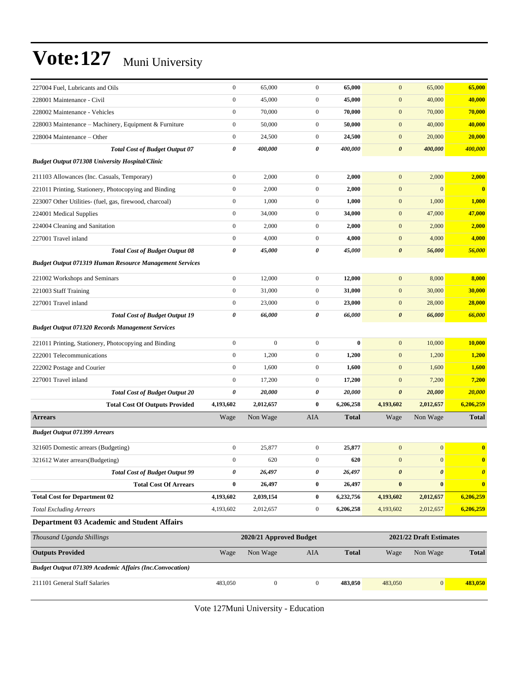| 227004 Fuel, Lubricants and Oils                               | $\mathbf{0}$          | 65,000                  | $\boldsymbol{0}$ | 65,000       | $\mathbf{0}$          | 65,000                  | 65,000                |
|----------------------------------------------------------------|-----------------------|-------------------------|------------------|--------------|-----------------------|-------------------------|-----------------------|
| 228001 Maintenance - Civil                                     | $\mathbf{0}$          | 45,000                  | $\boldsymbol{0}$ | 45,000       | $\boldsymbol{0}$      | 40,000                  | 40,000                |
| 228002 Maintenance - Vehicles                                  | $\boldsymbol{0}$      | 70,000                  | $\overline{0}$   | 70,000       | $\boldsymbol{0}$      | 70,000                  | 70,000                |
| 228003 Maintenance - Machinery, Equipment & Furniture          | $\boldsymbol{0}$      | 50,000                  | $\boldsymbol{0}$ | 50,000       | $\boldsymbol{0}$      | 40,000                  | 40,000                |
| 228004 Maintenance – Other                                     | $\boldsymbol{0}$      | 24,500                  | $\mathbf{0}$     | 24,500       | $\boldsymbol{0}$      | 20,000                  | 20,000                |
| <b>Total Cost of Budget Output 07</b>                          | $\boldsymbol{\theta}$ | 400,000                 | 0                | 400,000      | $\boldsymbol{\theta}$ | 400,000                 | 400,000               |
| <b>Budget Output 071308 University Hospital/Clinic</b>         |                       |                         |                  |              |                       |                         |                       |
| 211103 Allowances (Inc. Casuals, Temporary)                    | $\mathbf{0}$          | 2,000                   | $\overline{0}$   | 2,000        | $\boldsymbol{0}$      | 2,000                   | 2,000                 |
| 221011 Printing, Stationery, Photocopying and Binding          | $\boldsymbol{0}$      | 2,000                   | $\overline{0}$   | 2,000        | $\boldsymbol{0}$      | $\mathbf{0}$            | $\bf{0}$              |
| 223007 Other Utilities- (fuel, gas, firewood, charcoal)        | $\boldsymbol{0}$      | 1,000                   | $\boldsymbol{0}$ | 1,000        | $\boldsymbol{0}$      | 1,000                   | 1,000                 |
| 224001 Medical Supplies                                        | $\boldsymbol{0}$      | 34,000                  | $\boldsymbol{0}$ | 34,000       | $\mathbf{0}$          | 47,000                  | 47,000                |
| 224004 Cleaning and Sanitation                                 | $\mathbf{0}$          | 2,000                   | $\mathbf{0}$     | 2,000        | $\mathbf{0}$          | 2,000                   | 2,000                 |
| 227001 Travel inland                                           | $\boldsymbol{0}$      | 4,000                   | $\boldsymbol{0}$ | 4,000        | $\mathbf{0}$          | 4,000                   | 4,000                 |
| <b>Total Cost of Budget Output 08</b>                          | $\boldsymbol{\theta}$ | 45,000                  | 0                | 45,000       | $\pmb{\theta}$        | 56,000                  | 56,000                |
| <b>Budget Output 071319 Human Resource Management Services</b> |                       |                         |                  |              |                       |                         |                       |
| 221002 Workshops and Seminars                                  | $\boldsymbol{0}$      | 12,000                  | $\boldsymbol{0}$ | 12,000       | $\mathbf{0}$          | 8,000                   | 8,000                 |
| 221003 Staff Training                                          | $\boldsymbol{0}$      | 31,000                  | $\overline{0}$   | 31,000       | $\mathbf{0}$          | 30,000                  | 30,000                |
| 227001 Travel inland                                           | $\boldsymbol{0}$      | 23,000                  | $\mathbf{0}$     | 23,000       | $\mathbf{0}$          | 28,000                  | 28,000                |
| <b>Total Cost of Budget Output 19</b>                          | 0                     | 66,000                  | 0                | 66,000       | $\boldsymbol{\theta}$ | 66,000                  | 66,000                |
| <b>Budget Output 071320 Records Management Services</b>        |                       |                         |                  |              |                       |                         |                       |
| 221011 Printing, Stationery, Photocopying and Binding          | $\boldsymbol{0}$      | $\boldsymbol{0}$        | $\overline{0}$   | $\bf{0}$     | $\boldsymbol{0}$      | 10,000                  | 10,000                |
| 222001 Telecommunications                                      | $\boldsymbol{0}$      | 1,200                   | $\boldsymbol{0}$ | 1,200        | $\mathbf{0}$          | 1,200                   | 1,200                 |
| 222002 Postage and Courier                                     | $\boldsymbol{0}$      | 1,600                   | $\boldsymbol{0}$ | 1,600        | $\boldsymbol{0}$      | 1,600                   | 1,600                 |
| 227001 Travel inland                                           | $\boldsymbol{0}$      | 17,200                  | $\mathbf{0}$     | 17,200       | $\boldsymbol{0}$      | 7,200                   | 7,200                 |
| <b>Total Cost of Budget Output 20</b>                          | 0                     | 20,000                  | 0                | 20,000       | $\boldsymbol{\theta}$ | 20,000                  | <b>20,000</b>         |
| <b>Total Cost Of Outputs Provided</b>                          | 4,193,602             | 2,012,657               | $\bf{0}$         | 6,206,258    | 4,193,602             | 2,012,657               | 6,206,259             |
| <b>Arrears</b>                                                 | Wage                  | Non Wage                | AIA              | Total        | Wage                  | Non Wage                | <b>Total</b>          |
| <b>Budget Output 071399 Arrears</b>                            |                       |                         |                  |              |                       |                         |                       |
| 321605 Domestic arrears (Budgeting)                            | $\boldsymbol{0}$      | 25,877                  | $\mathbf{0}$     | 25,877       | $\boldsymbol{0}$      | $\boldsymbol{0}$        | $\bf{0}$              |
| 321612 Water arrears(Budgeting)                                | $\boldsymbol{0}$      | 620                     | $\overline{0}$   | 620          | $\mathbf{0}$          | $\mathbf{0}$            | $\bf{0}$              |
| <b>Total Cost of Budget Output 99</b>                          | 0                     | 26,497                  | 0                | 26,497       | $\boldsymbol{\theta}$ | $\boldsymbol{\theta}$   | $\boldsymbol{\theta}$ |
| <b>Total Cost Of Arrears</b>                                   | $\bf{0}$              | 26,497                  | $\bf{0}$         | 26,497       | $\pmb{0}$             | $\bf{0}$                | $\bf{0}$              |
| <b>Total Cost for Department 02</b>                            | 4,193,602             | 2,039,154               | $\bf{0}$         | 6,232,756    | 4,193,602             | 2,012,657               | 6,206,259             |
| <b>Total Excluding Arrears</b>                                 | 4,193,602             | 2,012,657               | $\boldsymbol{0}$ | 6,206,258    | 4,193,602             | 2,012,657               | 6,206,259             |
| <b>Department 03 Academic and Student Affairs</b>              |                       |                         |                  |              |                       |                         |                       |
| Thousand Uganda Shillings                                      |                       | 2020/21 Approved Budget |                  |              |                       | 2021/22 Draft Estimates |                       |
| <b>Outputs Provided</b>                                        | Wage                  | Non Wage                | AIA              | <b>Total</b> | Wage                  | Non Wage                | Total                 |
| <b>Budget Output 071309 Academic Affairs (Inc.Convocation)</b> |                       |                         |                  |              |                       |                         |                       |
| 211101 General Staff Salaries                                  | 483,050               | $\boldsymbol{0}$        | $\overline{0}$   | 483,050      | 483,050               | $\vert 0 \vert$         | 483,050               |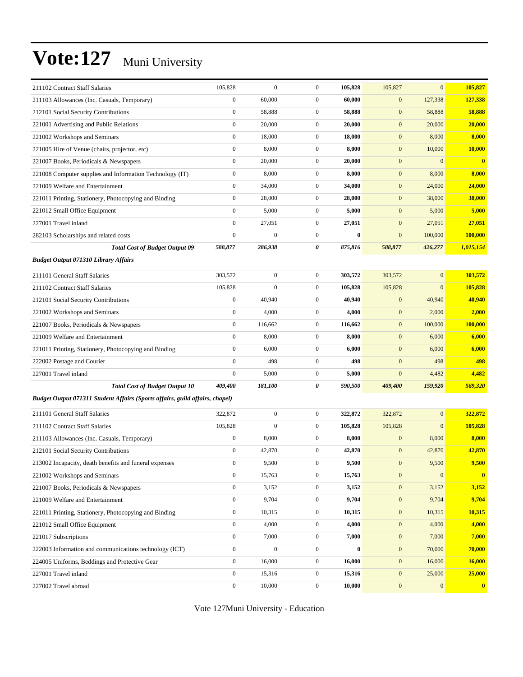| 211102 Contract Staff Salaries                                               | 105,828          | $\boldsymbol{0}$ | $\mathbf{0}$     | 105,828  | 105,827          | $\mathbf{0}$     | 105,827      |
|------------------------------------------------------------------------------|------------------|------------------|------------------|----------|------------------|------------------|--------------|
| 211103 Allowances (Inc. Casuals, Temporary)                                  | $\overline{0}$   | 60,000           | $\boldsymbol{0}$ | 60,000   | $\boldsymbol{0}$ | 127,338          | 127,338      |
| 212101 Social Security Contributions                                         | $\boldsymbol{0}$ | 58,888           | $\boldsymbol{0}$ | 58,888   | $\boldsymbol{0}$ | 58,888           | 58,888       |
| 221001 Advertising and Public Relations                                      | $\boldsymbol{0}$ | 20,000           | $\boldsymbol{0}$ | 20,000   | $\boldsymbol{0}$ | 20,000           | 20,000       |
| 221002 Workshops and Seminars                                                | $\boldsymbol{0}$ | 18,000           | $\mathbf{0}$     | 18,000   | $\mathbf{0}$     | 8,000            | 8,000        |
| 221005 Hire of Venue (chairs, projector, etc)                                | $\boldsymbol{0}$ | 8,000            | $\boldsymbol{0}$ | 8,000    | $\mathbf{0}$     | 10,000           | 10,000       |
| 221007 Books, Periodicals & Newspapers                                       | $\overline{0}$   | 20,000           | $\mathbf{0}$     | 20,000   | $\boldsymbol{0}$ | $\mathbf{0}$     | $\mathbf{0}$ |
| 221008 Computer supplies and Information Technology (IT)                     | $\boldsymbol{0}$ | 8,000            | $\boldsymbol{0}$ | 8,000    | $\boldsymbol{0}$ | 8,000            | 8,000        |
| 221009 Welfare and Entertainment                                             | $\boldsymbol{0}$ | 34,000           | $\boldsymbol{0}$ | 34,000   | $\boldsymbol{0}$ | 24,000           | 24,000       |
| 221011 Printing, Stationery, Photocopying and Binding                        | $\boldsymbol{0}$ | 28,000           | $\boldsymbol{0}$ | 28,000   | $\mathbf{0}$     | 38,000           | 38,000       |
| 221012 Small Office Equipment                                                | $\boldsymbol{0}$ | 5,000            | $\boldsymbol{0}$ | 5,000    | $\mathbf{0}$     | 5,000            | 5,000        |
| 227001 Travel inland                                                         | $\overline{0}$   | 27,051           | $\mathbf{0}$     | 27,051   | $\boldsymbol{0}$ | 27,051           | 27,051       |
| 282103 Scholarships and related costs                                        | $\boldsymbol{0}$ | $\boldsymbol{0}$ | $\boldsymbol{0}$ | $\bf{0}$ | $\mathbf{0}$     | 100,000          | 100,000      |
| <b>Total Cost of Budget Output 09</b>                                        | 588,877          | 286,938          | 0                | 875,816  | 588,877          | 426,277          | 1,015,154    |
| <b>Budget Output 071310 Library Affairs</b>                                  |                  |                  |                  |          |                  |                  |              |
| 211101 General Staff Salaries                                                | 303,572          | $\boldsymbol{0}$ | $\mathbf{0}$     | 303,572  | 303,572          | $\mathbf{0}$     | 303,572      |
| 211102 Contract Staff Salaries                                               | 105,828          | $\boldsymbol{0}$ | $\boldsymbol{0}$ | 105,828  | 105,828          | $\mathbf{0}$     | 105,828      |
| 212101 Social Security Contributions                                         | $\boldsymbol{0}$ | 40,940           | $\boldsymbol{0}$ | 40,940   | $\mathbf{0}$     | 40,940           | 40,940       |
| 221002 Workshops and Seminars                                                | $\boldsymbol{0}$ | 4,000            | $\boldsymbol{0}$ | 4,000    | $\mathbf{0}$     | 2,000            | 2,000        |
| 221007 Books, Periodicals & Newspapers                                       | $\boldsymbol{0}$ | 116,662          | $\mathbf{0}$     | 116,662  | $\mathbf{0}$     | 100,000          | 100,000      |
| 221009 Welfare and Entertainment                                             | $\boldsymbol{0}$ | 8,000            | $\mathbf{0}$     | 8,000    | $\mathbf{0}$     | 6,000            | 6,000        |
| 221011 Printing, Stationery, Photocopying and Binding                        | $\overline{0}$   | 6,000            | $\mathbf{0}$     | 6,000    | $\mathbf{0}$     | 6,000            | 6,000        |
| 222002 Postage and Courier                                                   | $\overline{0}$   | 498              | $\overline{0}$   | 498      | $\mathbf{0}$     | 498              | 498          |
| 227001 Travel inland                                                         | $\mathbf{0}$     | 5,000            | $\boldsymbol{0}$ | 5,000    | $\overline{0}$   | 4,482            | 4,482        |
| <b>Total Cost of Budget Output 10</b>                                        | 409,400          | 181,100          | 0                | 590,500  | 409,400          | 159,920          | 569,320      |
| Budget Output 071311 Student Affairs (Sports affairs, guild affairs, chapel) |                  |                  |                  |          |                  |                  |              |
| 211101 General Staff Salaries                                                | 322,872          | $\boldsymbol{0}$ | $\mathbf{0}$     | 322,872  | 322,872          | $\mathbf{0}$     | 322,872      |
| 211102 Contract Staff Salaries                                               | 105,828          | $\boldsymbol{0}$ | $\boldsymbol{0}$ | 105,828  | 105,828          | $\mathbf{0}$     | 105,828      |
| 211103 Allowances (Inc. Casuals, Temporary)                                  | $\boldsymbol{0}$ | 8,000            | $\mathbf{0}$     | 8,000    | $\mathbf{0}$     | 8,000            | 8,000        |
| 212101 Social Security Contributions                                         | $\boldsymbol{0}$ | 42,870           | $\boldsymbol{0}$ | 42,870   | $\mathbf{0}$     | 42,870           | 42,870       |
| 213002 Incapacity, death benefits and funeral expenses                       | $\boldsymbol{0}$ | 9,500            | $\boldsymbol{0}$ | 9,500    | $\mathbf{0}$     | 9,500            | 9,500        |
| 221002 Workshops and Seminars                                                | $\boldsymbol{0}$ | 15,763           | $\mathbf{0}$     | 15,763   | $\boldsymbol{0}$ | $\boldsymbol{0}$ | $\bf{0}$     |
| 221007 Books, Periodicals & Newspapers                                       | $\boldsymbol{0}$ | 3,152            | $\boldsymbol{0}$ | 3,152    | $\boldsymbol{0}$ | 3,152            | 3,152        |
| 221009 Welfare and Entertainment                                             | $\boldsymbol{0}$ | 9,704            | $\boldsymbol{0}$ | 9,704    | $\boldsymbol{0}$ | 9,704            | 9,704        |
| 221011 Printing, Stationery, Photocopying and Binding                        | $\boldsymbol{0}$ | 10,315           | $\mathbf{0}$     | 10,315   | $\boldsymbol{0}$ | 10,315           | 10,315       |
| 221012 Small Office Equipment                                                | $\boldsymbol{0}$ | 4,000            | $\boldsymbol{0}$ | 4,000    | $\boldsymbol{0}$ | 4,000            | 4,000        |
| 221017 Subscriptions                                                         | $\boldsymbol{0}$ | 7,000            | $\boldsymbol{0}$ | 7,000    | $\boldsymbol{0}$ | 7,000            | 7,000        |
| 222003 Information and communications technology (ICT)                       | $\boldsymbol{0}$ | $\boldsymbol{0}$ | $\boldsymbol{0}$ | $\bf{0}$ | $\boldsymbol{0}$ | 70,000           | 70,000       |
| 224005 Uniforms, Beddings and Protective Gear                                | $\boldsymbol{0}$ | 16,000           | $\boldsymbol{0}$ | 16,000   | $\boldsymbol{0}$ | 16,000           | 16,000       |
| 227001 Travel inland                                                         | $\boldsymbol{0}$ | 15,316           | 0                | 15,316   | $\boldsymbol{0}$ | 25,000           | 25,000       |
| 227002 Travel abroad                                                         | $\boldsymbol{0}$ | 10,000           | $\boldsymbol{0}$ | 10,000   | $\boldsymbol{0}$ | $\mathbf{0}$     | $\bf{0}$     |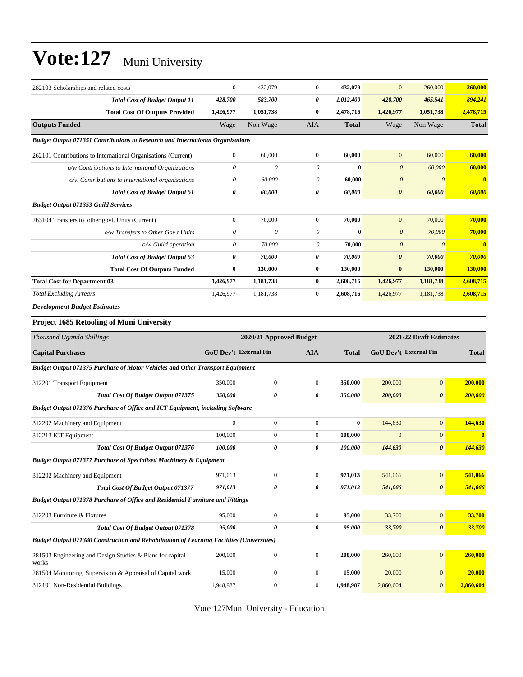| 282103 Scholarships and related costs                                                             | $\boldsymbol{0}$          | 432,079                   | $\mathbf{0}$     | 432,079      | $\mathbf{0}$           | 260,000                 | 260,000        |
|---------------------------------------------------------------------------------------------------|---------------------------|---------------------------|------------------|--------------|------------------------|-------------------------|----------------|
| <b>Total Cost of Budget Output 11</b>                                                             | 428,700                   | 583,700                   | 0                | 1,012,400    | 428,700                | 465,541                 | 894,241        |
| <b>Total Cost Of Outputs Provided</b>                                                             | 1,426,977                 | 1,051,738                 | 0                | 2,478,716    | 1,426,977              | 1,051,738               | 2,478,715      |
| <b>Outputs Funded</b>                                                                             | Wage                      | Non Wage                  | AIA              | <b>Total</b> | Wage                   | Non Wage                | <b>Total</b>   |
| <b>Budget Output 071351 Contributions to Research and International Organizations</b>             |                           |                           |                  |              |                        |                         |                |
| 262101 Contributions to International Organisations (Current)                                     | $\boldsymbol{0}$          | 60,000                    | $\boldsymbol{0}$ | 60,000       | $\mathbf{0}$           | 60,000                  | 60,000         |
| o/w Contributions to International Organizations                                                  | $\boldsymbol{\mathit{0}}$ | 0                         | 0                | $\bf{0}$     | $\boldsymbol{\theta}$  | 60,000                  | 60,000         |
| o/w Contributions to international organisations                                                  | $\boldsymbol{\mathit{0}}$ | 60,000                    | $\theta$         | 60,000       | $\boldsymbol{\theta}$  | $\theta$                | $\mathbf{0}$   |
| <b>Total Cost of Budget Output 51</b>                                                             | 0                         | 60,000                    | 0                | 60,000       | $\boldsymbol{\theta}$  | 60,000                  | 60,000         |
| <b>Budget Output 071353 Guild Services</b>                                                        |                           |                           |                  |              |                        |                         |                |
| 263104 Transfers to other govt. Units (Current)                                                   | $\boldsymbol{0}$          | 70,000                    | $\boldsymbol{0}$ | 70,000       | $\mathbf{0}$           | 70,000                  | 70,000         |
| o/w Transfers to Other Gov.t Units                                                                | $\boldsymbol{\mathit{0}}$ | $\boldsymbol{\mathit{0}}$ | $\theta$         | $\bf{0}$     | $\boldsymbol{\theta}$  | 70,000                  | 70,000         |
| $o/w$ Guild operation                                                                             | 0                         | 70,000                    | 0                | 70,000       | $\boldsymbol{\theta}$  | $\boldsymbol{\theta}$   | $\mathbf{0}$   |
| <b>Total Cost of Budget Output 53</b>                                                             | $\pmb{\theta}$            | 70,000                    | 0                | 70,000       | $\boldsymbol{\theta}$  | 70,000                  | 70,000         |
| <b>Total Cost Of Outputs Funded</b>                                                               | $\bf{0}$                  | 130,000                   | 0                | 130,000      | $\bf{0}$               | 130,000                 | 130,000        |
| <b>Total Cost for Department 03</b>                                                               | 1,426,977                 | 1,181,738                 | 0                | 2,608,716    | 1,426,977              | 1,181,738               | 2,608,715      |
| <b>Total Excluding Arrears</b>                                                                    | 1,426,977                 | 1,181,738                 | $\boldsymbol{0}$ | 2,608,716    | 1,426,977              | 1,181,738               | 2,608,715      |
| <b>Development Budget Estimates</b>                                                               |                           |                           |                  |              |                        |                         |                |
| Project 1685 Retooling of Muni University                                                         |                           |                           |                  |              |                        |                         |                |
|                                                                                                   |                           |                           |                  |              |                        |                         |                |
| Thousand Uganda Shillings                                                                         |                           | 2020/21 Approved Budget   |                  |              |                        | 2021/22 Draft Estimates |                |
| <b>Capital Purchases</b>                                                                          | GoU Dev't External Fin    |                           | <b>AIA</b>       | <b>Total</b> | GoU Dev't External Fin |                         | <b>Total</b>   |
| <b>Budget Output 071375 Purchase of Motor Vehicles and Other Transport Equipment</b>              |                           |                           |                  |              |                        |                         |                |
| 312201 Transport Equipment                                                                        | 350,000                   | $\boldsymbol{0}$          | $\boldsymbol{0}$ | 350,000      | 200,000                | $\mathbf{0}$            | 200,000        |
| Total Cost Of Budget Output 071375                                                                | 350,000                   | 0                         | 0                | 350,000      | 200,000                | $\boldsymbol{\theta}$   | <b>200,000</b> |
| <b>Budget Output 071376 Purchase of Office and ICT Equipment, including Software</b>              |                           |                           |                  |              |                        |                         |                |
| 312202 Machinery and Equipment                                                                    | $\mathbf{0}$              | $\boldsymbol{0}$          | $\boldsymbol{0}$ | $\bf{0}$     | 144,630                | $\mathbf{0}$            | 144,630        |
| 312213 ICT Equipment                                                                              | 100,000                   | $\boldsymbol{0}$          | $\boldsymbol{0}$ | 100,000      | $\mathbf{0}$           | $\mathbf{0}$            | $\bf{0}$       |
| <b>Total Cost Of Budget Output 071376</b>                                                         | 100.000                   | 0                         | 0                | 100,000      | 144,630                | $\boldsymbol{\theta}$   | 144,630        |
| Budget Output 071377 Purchase of Specialised Machinery & Equipment                                |                           |                           |                  |              |                        |                         |                |
| 312202 Machinery and Equipment                                                                    | 971,013                   | $\mathbf{0}$              | $\boldsymbol{0}$ | 971,013      | 541,066                | $\mathbf{0}$            | 541,066        |
| Total Cost Of Budget Output 071377                                                                | 971,013                   | $\boldsymbol{\theta}$     | 0                | 971,013      | 541,066                | $\boldsymbol{\theta}$   | 541,066        |
| Budget Output 071378 Purchase of Office and Residential Furniture and Fittings                    |                           |                           |                  |              |                        |                         |                |
| 312203 Furniture & Fixtures                                                                       | 95,000                    | $\boldsymbol{0}$          | $\boldsymbol{0}$ | 95,000       | 33,700                 | $\boldsymbol{0}$        | 33,700         |
| Total Cost Of Budget Output 071378                                                                | 95,000                    | 0                         | 0                | 95,000       | 33,700                 | $\pmb{\theta}$          | 33,700         |
| <b>Budget Output 071380 Construction and Rehabilitation of Learning Facilities (Universities)</b> |                           |                           |                  |              |                        |                         |                |
| 281503 Engineering and Design Studies & Plans for capital                                         | 200,000                   | $\boldsymbol{0}$          | $\boldsymbol{0}$ | 200,000      | 260,000                | $\boldsymbol{0}$        | 260,000        |
| works<br>281504 Monitoring, Supervision & Appraisal of Capital work                               | 15,000                    | $\boldsymbol{0}$          | $\boldsymbol{0}$ | 15,000       | 20,000                 | $\mathbf{0}$            | 20,000         |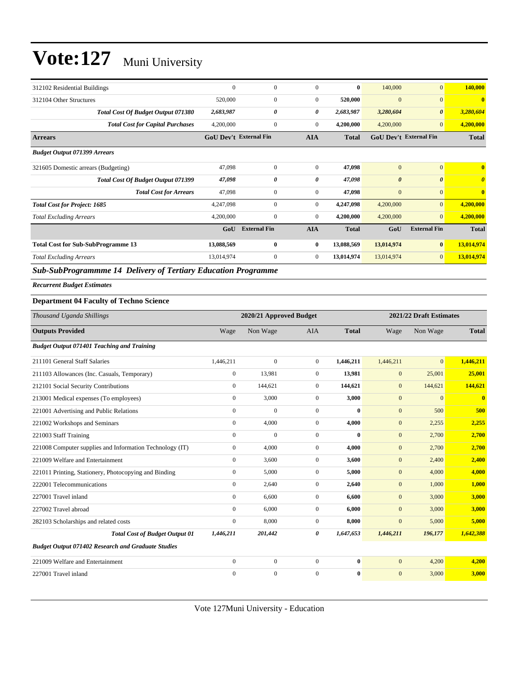| 312102 Residential Buildings              | $\mathbf{0}$                  | $\Omega$            | $\Omega$       | $\mathbf{0}$ | 140,000                       | $\mathbf{0}$          | 140,000                          |
|-------------------------------------------|-------------------------------|---------------------|----------------|--------------|-------------------------------|-----------------------|----------------------------------|
| 312104 Other Structures                   | 520,000                       | $\mathbf{0}$        | $\overline{0}$ | 520,000      | $\mathbf{0}$                  | $\mathbf{0}$          | $\mathbf{0}$                     |
| <b>Total Cost Of Budget Output 071380</b> | 2,683,987                     | 0                   | 0              | 2,683,987    | 3,280,604                     | $\boldsymbol{\theta}$ | 3,280,604                        |
| <b>Total Cost for Capital Purchases</b>   | 4,200,000                     | $\mathbf{0}$        | $\mathbf{0}$   | 4,200,000    | 4,200,000                     | $\overline{0}$        | 4,200,000                        |
| <b>Arrears</b>                            | <b>GoU Dev't External Fin</b> |                     | <b>AIA</b>     | <b>Total</b> | <b>GoU Dev't External Fin</b> |                       | <b>Total</b>                     |
| <b>Budget Output 071399 Arrears</b>       |                               |                     |                |              |                               |                       |                                  |
| 321605 Domestic arrears (Budgeting)       | 47,098                        | $\overline{0}$      | $\Omega$       | 47,098       | $\mathbf{0}$                  | $\mathbf{0}$          | $\mathbf{0}$                     |
| Total Cost Of Budget Output 071399        | 47,098                        | 0                   | 0              | 47,098       | $\boldsymbol{\theta}$         | $\boldsymbol{\theta}$ | $\overline{\boldsymbol{\theta}}$ |
| <b>Total Cost for Arrears</b>             | 47,098                        | 0                   | $\mathbf{0}$   | 47,098       | $\mathbf{0}$                  | $\mathbf{0}$          | $\mathbf{0}$                     |
| <b>Total Cost for Project: 1685</b>       | 4,247,098                     | $\mathbf{0}$        | $\overline{0}$ | 4,247,098    | 4,200,000                     | $\overline{0}$        | 4,200,000                        |
| <b>Total Excluding Arrears</b>            | 4,200,000                     | $\Omega$            | $\mathbf{0}$   | 4,200,000    | 4,200,000                     | $\mathbf{0}$          | 4,200,000                        |
|                                           | GoU                           | <b>External Fin</b> | <b>AIA</b>     | <b>Total</b> | GoU                           | <b>External Fin</b>   | <b>Total</b>                     |
| <b>Total Cost for Sub-SubProgramme 13</b> | 13,088,569                    | $\bf{0}$            | $\bf{0}$       | 13,088,569   | 13,014,974                    | $\bf{0}$              | 13,014,974                       |
| <b>Total Excluding Arrears</b>            | 13,014,974                    | $\mathbf{0}$        | $\overline{0}$ | 13,014,974   | 13,014,974                    | $\overline{0}$        | 13,014,974                       |
|                                           |                               |                     |                |              |                               |                       |                                  |

*Sub-SubProgrammme 14 Delivery of Tertiary Education Programme*

*Recurrent Budget Estimates*

#### **Department 04 Faculty of Techno Science**

| Thousand Uganda Shillings                                 |                | 2020/21 Approved Budget |                |              |              | 2021/22 Draft Estimates |                         |  |
|-----------------------------------------------------------|----------------|-------------------------|----------------|--------------|--------------|-------------------------|-------------------------|--|
| <b>Outputs Provided</b>                                   | Wage           | Non Wage                | <b>AIA</b>     | <b>Total</b> | Wage         | Non Wage                | <b>Total</b>            |  |
| <b>Budget Output 071401 Teaching and Training</b>         |                |                         |                |              |              |                         |                         |  |
| 211101 General Staff Salaries                             | 1,446,211      | $\mathbf{0}$            | $\overline{0}$ | 1,446,211    | 1,446,211    | $\overline{0}$          | 1,446,211               |  |
| 211103 Allowances (Inc. Casuals, Temporary)               | $\overline{0}$ | 13,981                  | $\mathbf{0}$   | 13,981       | $\mathbf{0}$ | 25,001                  | 25,001                  |  |
| 212101 Social Security Contributions                      | $\overline{0}$ | 144,621                 | $\overline{0}$ | 144,621      | $\mathbf{0}$ | 144,621                 | 144,621                 |  |
| 213001 Medical expenses (To employees)                    | $\overline{0}$ | 3,000                   | $\overline{0}$ | 3,000        | $\mathbf{0}$ | $\overline{0}$          | $\overline{\mathbf{0}}$ |  |
| 221001 Advertising and Public Relations                   | $\overline{0}$ | $\mathbf{0}$            | $\overline{0}$ | $\bf{0}$     | $\mathbf{0}$ | 500                     | 500                     |  |
| 221002 Workshops and Seminars                             | $\overline{0}$ | 4,000                   | $\overline{0}$ | 4,000        | $\mathbf{0}$ | 2,255                   | 2,255                   |  |
| 221003 Staff Training                                     | $\Omega$       | $\mathbf{0}$            | $\overline{0}$ | $\mathbf{0}$ | $\mathbf{0}$ | 2,700                   | 2,700                   |  |
| 221008 Computer supplies and Information Technology (IT)  | $\overline{0}$ | 4,000                   | $\overline{0}$ | 4,000        | $\mathbf{0}$ | 2,700                   | 2,700                   |  |
| 221009 Welfare and Entertainment                          | $\overline{0}$ | 3,600                   | $\overline{0}$ | 3,600        | $\mathbf{0}$ | 2,400                   | 2,400                   |  |
| 221011 Printing, Stationery, Photocopying and Binding     | $\overline{0}$ | 5,000                   | $\overline{0}$ | 5,000        | $\mathbf{0}$ | 4,000                   | 4,000                   |  |
| 222001 Telecommunications                                 | $\overline{0}$ | 2,640                   | $\overline{0}$ | 2,640        | $\mathbf{0}$ | 1,000                   | 1,000                   |  |
| 227001 Travel inland                                      | $\overline{0}$ | 6,600                   | $\overline{0}$ | 6,600        | $\mathbf{0}$ | 3,000                   | 3,000                   |  |
| 227002 Travel abroad                                      | $\overline{0}$ | 6,000                   | $\overline{0}$ | 6.000        | $\mathbf{0}$ | 3,000                   | 3,000                   |  |
| 282103 Scholarships and related costs                     | $\mathbf{0}$   | 8,000                   | $\overline{0}$ | 8,000        | $\mathbf{0}$ | 5,000                   | 5,000                   |  |
| <b>Total Cost of Budget Output 01</b>                     | 1,446,211      | 201,442                 | 0              | 1,647,653    | 1,446,211    | 196,177                 | 1,642,388               |  |
| <b>Budget Output 071402 Research and Graduate Studies</b> |                |                         |                |              |              |                         |                         |  |
| 221009 Welfare and Entertainment                          | $\overline{0}$ | $\mathbf{0}$            | $\overline{0}$ | $\mathbf{0}$ | $\mathbf{0}$ | 4,200                   | 4,200                   |  |
| 227001 Travel inland                                      | $\overline{0}$ | $\mathbf{0}$            | $\mathbf{0}$   | $\bf{0}$     | $\mathbf{0}$ | 3,000                   | 3,000                   |  |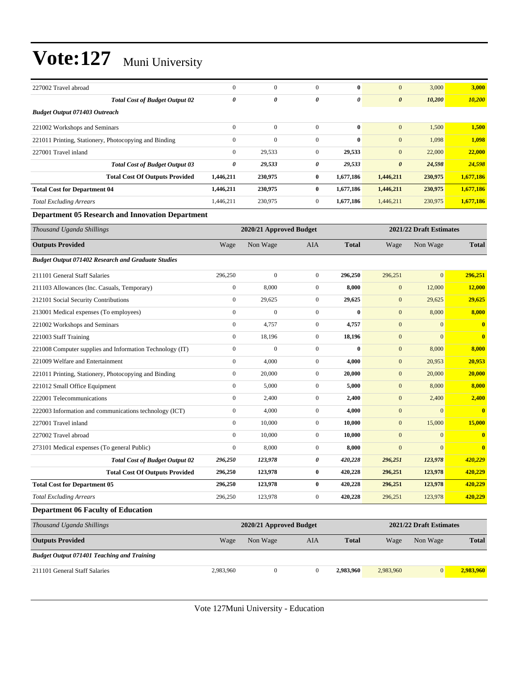| 227002 Travel abroad                                  | $\mathbf{0}$ | $\mathbf{0}$ | $\Omega$     | $\bf{0}$  | $\overline{0}$        | 3,000   | 3,000     |
|-------------------------------------------------------|--------------|--------------|--------------|-----------|-----------------------|---------|-----------|
| <b>Total Cost of Budget Output 02</b>                 | 0            | 0            | 0            | 0         | $\boldsymbol{\theta}$ | 10,200  | 10,200    |
| <b>Budget Output 071403 Outreach</b>                  |              |              |              |           |                       |         |           |
| 221002 Workshops and Seminars                         | $\mathbf{0}$ | $\mathbf{0}$ | $\mathbf{0}$ | $\bf{0}$  | $\boldsymbol{0}$      | 1,500   | 1,500     |
| 221011 Printing, Stationery, Photocopying and Binding | $\mathbf{0}$ | $\mathbf{0}$ | $\mathbf{0}$ | $\bf{0}$  | $\mathbf{0}$          | 1,098   | 1,098     |
| 227001 Travel inland                                  | $\mathbf{0}$ | 29,533       | $\mathbf{0}$ | 29,533    | $\boldsymbol{0}$      | 22,000  | 22,000    |
| <b>Total Cost of Budget Output 03</b>                 | 0            | 29,533       | 0            | 29,533    | $\boldsymbol{\theta}$ | 24,598  | 24,598    |
| <b>Total Cost Of Outputs Provided</b>                 | 1,446,211    | 230,975      | $\bf{0}$     | 1,677,186 | 1,446,211             | 230,975 | 1,677,186 |
| <b>Total Cost for Department 04</b>                   | 1,446,211    | 230,975      | $\bf{0}$     | 1,677,186 | 1,446,211             | 230,975 | 1,677,186 |
| <b>Total Excluding Arrears</b>                        | 1,446,211    | 230,975      | $\mathbf{0}$ | 1,677,186 | 1,446,211             | 230,975 | 1,677,186 |

#### **Department 05 Research and Innovation Department**

| Thousand Uganda Shillings                                 |                  | 2020/21 Approved Budget |                |              | 2021/22 Draft Estimates |                         |                         |
|-----------------------------------------------------------|------------------|-------------------------|----------------|--------------|-------------------------|-------------------------|-------------------------|
| <b>Outputs Provided</b>                                   | Wage             | Non Wage                | <b>AIA</b>     | <b>Total</b> | Wage                    | Non Wage                | <b>Total</b>            |
| <b>Budget Output 071402 Research and Graduate Studies</b> |                  |                         |                |              |                         |                         |                         |
| 211101 General Staff Salaries                             | 296,250          | $\theta$                | $\overline{0}$ | 296,250      | 296,251                 | $\overline{0}$          | 296,251                 |
| 211103 Allowances (Inc. Casuals, Temporary)               | $\boldsymbol{0}$ | 8,000                   | $\overline{0}$ | 8,000        | $\mathbf{0}$            | 12,000                  | 12,000                  |
| 212101 Social Security Contributions                      | $\mathbf{0}$     | 29,625                  | $\overline{0}$ | 29,625       | $\mathbf{0}$            | 29,625                  | 29,625                  |
| 213001 Medical expenses (To employees)                    | $\boldsymbol{0}$ | $\mathbf{0}$            | $\overline{0}$ | $\bf{0}$     | $\mathbf{0}$            | 8,000                   | 8,000                   |
| 221002 Workshops and Seminars                             | $\overline{0}$   | 4.757                   | $\overline{0}$ | 4,757        | $\mathbf{0}$            | $\overline{0}$          | $\overline{\mathbf{0}}$ |
| 221003 Staff Training                                     | $\overline{0}$   | 18,196                  | $\overline{0}$ | 18,196       | $\mathbf{0}$            | $\Omega$                | $\overline{\mathbf{0}}$ |
| 221008 Computer supplies and Information Technology (IT)  | $\overline{0}$   | $\overline{0}$          | $\overline{0}$ | $\bf{0}$     | $\mathbf{0}$            | 8,000                   | 8,000                   |
| 221009 Welfare and Entertainment                          | $\overline{0}$   | 4,000                   | $\overline{0}$ | 4.000        | $\mathbf{0}$            | 20,953                  | 20,953                  |
| 221011 Printing, Stationery, Photocopying and Binding     | $\boldsymbol{0}$ | 20,000                  | $\overline{0}$ | 20,000       | $\mathbf{0}$            | 20,000                  | 20,000                  |
| 221012 Small Office Equipment                             | $\mathbf{0}$     | 5,000                   | $\overline{0}$ | 5,000        | $\mathbf{0}$            | 8,000                   | 8,000                   |
| 222001 Telecommunications                                 | $\Omega$         | 2,400                   | $\overline{0}$ | 2,400        | $\mathbf{0}$            | 2,400                   | 2,400                   |
| 222003 Information and communications technology (ICT)    | $\boldsymbol{0}$ | 4,000                   | $\overline{0}$ | 4,000        | $\mathbf{0}$            | $\mathbf{0}$            | $\overline{\mathbf{0}}$ |
| 227001 Travel inland                                      | $\overline{0}$   | 10.000                  | $\overline{0}$ | 10,000       | $\mathbf{0}$            | 15,000                  | 15,000                  |
| 227002 Travel abroad                                      | $\overline{0}$   | 10,000                  | $\overline{0}$ | 10,000       | $\mathbf{0}$            | $\overline{0}$          | $\overline{0}$          |
| 273101 Medical expenses (To general Public)               | $\overline{0}$   | 8,000                   | $\overline{0}$ | 8,000        | $\mathbf{0}$            | $\overline{0}$          | $\overline{\mathbf{0}}$ |
| <b>Total Cost of Budget Output 02</b>                     | 296,250          | 123,978                 | 0              | 420,228      | 296,251                 | 123,978                 | 420,229                 |
| <b>Total Cost Of Outputs Provided</b>                     | 296,250          | 123,978                 | $\bf{0}$       | 420,228      | 296,251                 | 123,978                 | 420,229                 |
| <b>Total Cost for Department 05</b>                       | 296,250          | 123,978                 | $\bf{0}$       | 420,228      | 296,251                 | 123,978                 | 420,229                 |
| <b>Total Excluding Arrears</b>                            | 296,250          | 123,978                 | $\mathbf{0}$   | 420,228      | 296,251                 | 123,978                 | 420,229                 |
| <b>Department 06 Faculty of Education</b>                 |                  |                         |                |              |                         |                         |                         |
| Thousand Uganda Shillings                                 |                  | 2020/21 Approved Budget |                |              |                         | 2021/22 Draft Estimates |                         |
| <b>Outputs Provided</b>                                   | Wage             | Non Wage                | <b>AIA</b>     | <b>Total</b> | Wage                    | Non Wage                | <b>Total</b>            |

#### *Budget Output 071401 Teaching and Training*

211101 General Staff Salaries 2,983,960 0 0 **2,983,960** 2,983,960 0 **2,983,960**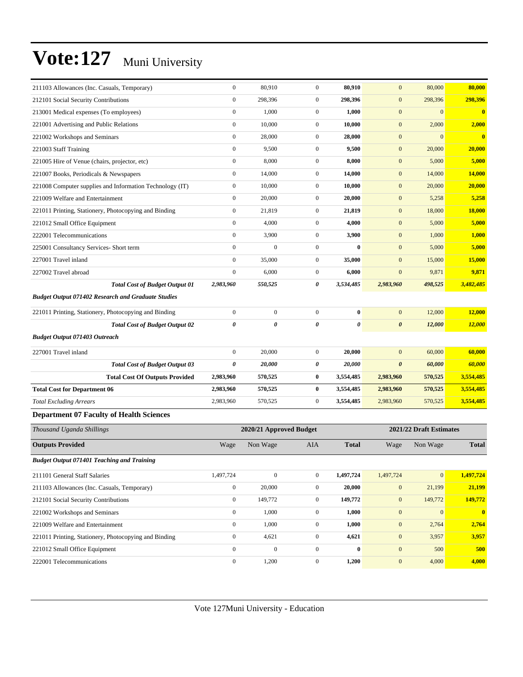| 211103 Allowances (Inc. Casuals, Temporary)               | $\boldsymbol{0}$ | 80,910                  | $\mathbf{0}$     | 80,910       | $\mathbf{0}$          | 80,000                  | 80,000        |
|-----------------------------------------------------------|------------------|-------------------------|------------------|--------------|-----------------------|-------------------------|---------------|
| 212101 Social Security Contributions                      | $\boldsymbol{0}$ | 298,396                 | $\mathbf{0}$     | 298,396      | $\boldsymbol{0}$      | 298,396                 | 298,396       |
| 213001 Medical expenses (To employees)                    | $\boldsymbol{0}$ | 1,000                   | $\boldsymbol{0}$ | 1,000        | $\boldsymbol{0}$      | $\boldsymbol{0}$        | $\bf{0}$      |
| 221001 Advertising and Public Relations                   | $\boldsymbol{0}$ | 10,000                  | $\boldsymbol{0}$ | 10,000       | $\mathbf{0}$          | 2,000                   | 2,000         |
| 221002 Workshops and Seminars                             | $\boldsymbol{0}$ | 28,000                  | $\boldsymbol{0}$ | 28,000       | $\mathbf{0}$          | $\Omega$                | $\bf{0}$      |
| 221003 Staff Training                                     | $\boldsymbol{0}$ | 9,500                   | $\mathbf{0}$     | 9,500        | $\mathbf{0}$          | 20,000                  | 20,000        |
| 221005 Hire of Venue (chairs, projector, etc)             | $\boldsymbol{0}$ | 8,000                   | $\mathbf{0}$     | 8,000        | $\boldsymbol{0}$      | 5,000                   | 5,000         |
| 221007 Books, Periodicals & Newspapers                    | $\boldsymbol{0}$ | 14,000                  | $\mathbf{0}$     | 14,000       | $\boldsymbol{0}$      | 14,000                  | 14,000        |
| 221008 Computer supplies and Information Technology (IT)  | $\boldsymbol{0}$ | 10,000                  | $\boldsymbol{0}$ | 10,000       | $\mathbf{0}$          | 20,000                  | 20,000        |
| 221009 Welfare and Entertainment                          | $\mathbf{0}$     | 20,000                  | $\mathbf{0}$     | 20,000       | $\boldsymbol{0}$      | 5,258                   | 5,258         |
| 221011 Printing, Stationery, Photocopying and Binding     | $\boldsymbol{0}$ | 21,819                  | $\mathbf{0}$     | 21,819       | $\mathbf{0}$          | 18,000                  | 18,000        |
| 221012 Small Office Equipment                             | $\boldsymbol{0}$ | 4,000                   | $\mathbf{0}$     | 4,000        | $\boldsymbol{0}$      | 5,000                   | 5,000         |
| 222001 Telecommunications                                 | $\boldsymbol{0}$ | 3,900                   | $\mathbf{0}$     | 3,900        | $\mathbf{0}$          | 1,000                   | 1,000         |
| 225001 Consultancy Services- Short term                   | $\boldsymbol{0}$ | $\mathbf{0}$            | $\boldsymbol{0}$ | $\bf{0}$     | $\mathbf{0}$          | 5,000                   | 5,000         |
| 227001 Travel inland                                      | $\mathbf{0}$     | 35,000                  | $\mathbf{0}$     | 35,000       | $\mathbf{0}$          | 15,000                  | 15,000        |
| 227002 Travel abroad                                      | $\boldsymbol{0}$ | 6,000                   | $\mathbf{0}$     | 6,000        | $\mathbf{0}$          | 9,871                   | 9,871         |
| <b>Total Cost of Budget Output 01</b>                     | 2,983,960        | 550,525                 | 0                | 3,534,485    | 2,983,960             | 498,525                 | 3,482,485     |
| <b>Budget Output 071402 Research and Graduate Studies</b> |                  |                         |                  |              |                       |                         |               |
| 221011 Printing, Stationery, Photocopying and Binding     | $\boldsymbol{0}$ | $\boldsymbol{0}$        | $\boldsymbol{0}$ | $\bf{0}$     | $\mathbf{0}$          | 12,000                  | 12,000        |
| <b>Total Cost of Budget Output 02</b>                     | $\pmb{\theta}$   | 0                       | 0                | 0            | $\boldsymbol{\theta}$ | 12,000                  | <b>12,000</b> |
| <b>Budget Output 071403 Outreach</b>                      |                  |                         |                  |              |                       |                         |               |
| 227001 Travel inland                                      | $\boldsymbol{0}$ | 20,000                  | $\mathbf{0}$     | 20,000       | $\mathbf{0}$          | 60,000                  | 60,000        |
| <b>Total Cost of Budget Output 03</b>                     | 0                | 20,000                  | 0                | 20,000       | $\boldsymbol{\theta}$ | 60,000                  | 60,000        |
| <b>Total Cost Of Outputs Provided</b>                     | 2,983,960        | 570,525                 | $\bf{0}$         | 3,554,485    | 2,983,960             | 570,525                 | 3,554,485     |
| <b>Total Cost for Department 06</b>                       | 2,983,960        | 570,525                 | $\bf{0}$         | 3,554,485    | 2,983,960             | 570,525                 | 3,554,485     |
| <b>Total Excluding Arrears</b>                            | 2,983,960        | 570,525                 | $\mathbf{0}$     | 3,554,485    | 2,983,960             | 570,525                 | 3,554,485     |
| <b>Department 07 Faculty of Health Sciences</b>           |                  |                         |                  |              |                       |                         |               |
| Thousand Uganda Shillings                                 |                  | 2020/21 Approved Budget |                  |              |                       | 2021/22 Draft Estimates |               |
| <b>Outputs Provided</b>                                   | Wage             | Non Wage                | <b>AIA</b>       | <b>Total</b> | Wage                  | Non Wage                | <b>Total</b>  |
| <b>Budget Output 071401 Teaching and Training</b>         |                  |                         |                  |              |                       |                         |               |
| 211101 General Staff Salaries                             | 1,497,724        | $\boldsymbol{0}$        | $\mathbf{0}$     | 1,497,724    | 1,497,724             | $\vert 0 \vert$         | 1,497,724     |
| 211103 Allowances (Inc. Casuals, Temporary)               | $\mathbf{0}$     | 20,000                  | $\boldsymbol{0}$ | 20,000       | $\mathbf{0}$          | 21,199                  | 21,199        |
| 212101 Social Security Contributions                      | $\boldsymbol{0}$ | 149,772                 | $\boldsymbol{0}$ | 149,772      | $\mathbf{0}$          | 149,772                 | 149,772       |
| 221002 Workshops and Seminars                             | $\boldsymbol{0}$ | 1,000                   | $\boldsymbol{0}$ | 1,000        | $\boldsymbol{0}$      | $\mathbf{0}$            | $\mathbf{0}$  |
| 221009 Welfare and Entertainment                          | $\mathbf{0}$     | 1,000                   | $\boldsymbol{0}$ | 1,000        | $\boldsymbol{0}$      | 2,764                   | 2,764         |
| 221011 Printing, Stationery, Photocopying and Binding     | $\mathbf{0}$     | 4,621                   | $\mathbf{0}$     | 4,621        | $\boldsymbol{0}$      | 3,957                   | 3,957         |
| 221012 Small Office Equipment                             | $\boldsymbol{0}$ | $\boldsymbol{0}$        | $\boldsymbol{0}$ | $\bf{0}$     | $\boldsymbol{0}$      | 500                     | 500           |
| 222001 Telecommunications                                 | $\boldsymbol{0}$ | 1,200                   | $\mathbf{0}$     | 1,200        | $\mathbf{0}$          | 4,000                   | 4,000         |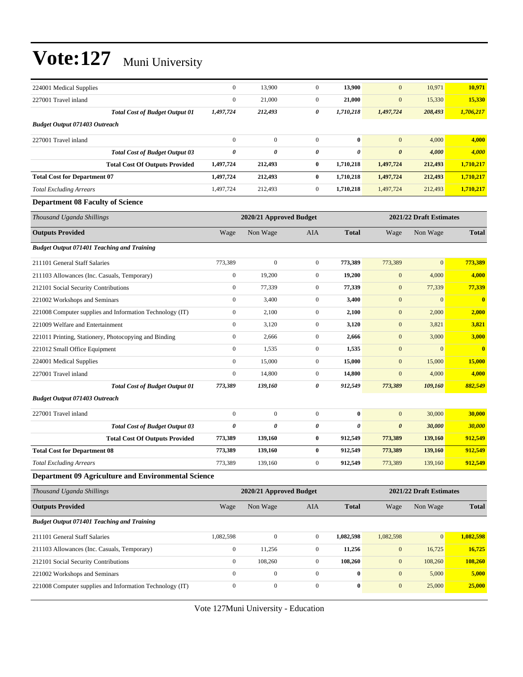| 224001 Medical Supplies                                    | $\boldsymbol{0}$      | 13,900                  | $\boldsymbol{0}$ | 13,900           | $\boldsymbol{0}$        | 10,971                  | 10,971        |
|------------------------------------------------------------|-----------------------|-------------------------|------------------|------------------|-------------------------|-------------------------|---------------|
| 227001 Travel inland                                       | $\boldsymbol{0}$      | 21,000                  | $\mathbf{0}$     | 21,000           | $\boldsymbol{0}$        | 15,330                  | 15,330        |
| <b>Total Cost of Budget Output 01</b>                      | 1,497,724             | 212,493                 | 0                | 1,710,218        | 1,497,724               | 208,493                 | 1,706,217     |
| <b>Budget Output 071403 Outreach</b>                       |                       |                         |                  |                  |                         |                         |               |
| 227001 Travel inland                                       | $\boldsymbol{0}$      | $\mathbf{0}$            | $\mathbf{0}$     | $\bf{0}$         | $\mathbf{0}$            | 4,000                   | 4,000         |
| <b>Total Cost of Budget Output 03</b>                      | 0                     | 0                       | 0                | 0                | $\boldsymbol{\theta}$   | 4,000                   | 4,000         |
| <b>Total Cost Of Outputs Provided</b>                      | 1,497,724             | 212,493                 | $\bf{0}$         | 1,710,218        | 1,497,724               | 212,493                 | 1,710,217     |
| <b>Total Cost for Department 07</b>                        | 1,497,724             | 212,493                 | $\bf{0}$         | 1,710,218        | 1,497,724               | 212,493                 | 1,710,217     |
| <b>Total Excluding Arrears</b>                             | 1,497,724             | 212,493                 | $\mathbf{0}$     | 1,710,218        | 1,497,724               | 212,493                 | 1,710,217     |
| <b>Department 08 Faculty of Science</b>                    |                       |                         |                  |                  |                         |                         |               |
| Thousand Uganda Shillings                                  |                       | 2020/21 Approved Budget |                  |                  |                         | 2021/22 Draft Estimates |               |
| <b>Outputs Provided</b>                                    | Wage                  | Non Wage                | AIA              | <b>Total</b>     | Wage                    | Non Wage                | <b>Total</b>  |
| <b>Budget Output 071401 Teaching and Training</b>          |                       |                         |                  |                  |                         |                         |               |
| 211101 General Staff Salaries                              | 773,389               | $\boldsymbol{0}$        | $\boldsymbol{0}$ | 773,389          | 773,389                 | $\mathbf{0}$            | 773,389       |
| 211103 Allowances (Inc. Casuals, Temporary)                | $\boldsymbol{0}$      | 19,200                  | $\mathbf{0}$     | 19,200           | $\boldsymbol{0}$        | 4,000                   | 4,000         |
| 212101 Social Security Contributions                       | $\boldsymbol{0}$      | 77,339                  | $\mathbf{0}$     | 77,339           | $\boldsymbol{0}$        | 77,339                  | 77,339        |
| 221002 Workshops and Seminars                              | $\boldsymbol{0}$      | 3,400                   | $\mathbf{0}$     | 3,400            | $\boldsymbol{0}$        | $\mathbf{0}$            | $\bf{0}$      |
| 221008 Computer supplies and Information Technology (IT)   | $\boldsymbol{0}$      | 2,100                   | $\mathbf{0}$     | 2,100            | $\boldsymbol{0}$        | 2,000                   | 2,000         |
| 221009 Welfare and Entertainment                           | $\boldsymbol{0}$      | 3,120                   | $\boldsymbol{0}$ | 3,120            | $\boldsymbol{0}$        | 3,821                   | 3,821         |
| 221011 Printing, Stationery, Photocopying and Binding      | $\boldsymbol{0}$      | 2,666                   | $\mathbf{0}$     | 2,666            | $\boldsymbol{0}$        | 3,000                   | 3,000         |
| 221012 Small Office Equipment                              | $\boldsymbol{0}$      | 1,535                   | $\mathbf{0}$     | 1,535            | $\boldsymbol{0}$        | $\mathbf{0}$            | $\bf{0}$      |
| 224001 Medical Supplies                                    | $\boldsymbol{0}$      | 15,000                  | $\mathbf{0}$     | 15,000           | $\boldsymbol{0}$        | 15,000                  | 15,000        |
| 227001 Travel inland                                       | $\boldsymbol{0}$      | 14,800                  | $\boldsymbol{0}$ | 14,800           | $\mathbf{0}$            | 4,000                   | 4,000         |
| <b>Total Cost of Budget Output 01</b>                      | 773,389               | 139,160                 | 0                | 912,549          | 773,389                 | 109,160                 | 882,549       |
| <b>Budget Output 071403 Outreach</b>                       |                       |                         |                  |                  |                         |                         |               |
| 227001 Travel inland                                       | $\boldsymbol{0}$      | $\boldsymbol{0}$        | $\boldsymbol{0}$ | $\bf{0}$         | $\mathbf{0}$            | 30,000                  | 30,000        |
| <b>Total Cost of Budget Output 03</b>                      | $\boldsymbol{\theta}$ | 0                       | 0                | 0                | $\boldsymbol{\theta}$   | 30,000                  | <b>30,000</b> |
| <b>Total Cost Of Outputs Provided</b>                      | 773,389               | 139,160                 | $\bf{0}$         | 912,549          | 773,389                 | 139,160                 | 912,549       |
| <b>Total Cost for Department 08</b>                        | 773,389               | 139,160                 | $\bf{0}$         | 912,549          | 773,389                 | 139,160                 | 912,549       |
| Total Excluding Arrears                                    | 773,389               | 139,160                 |                  | 912,549          | 773,389                 | 139,160                 | 912,549       |
| <b>Department 09 Agriculture and Environmental Science</b> |                       |                         |                  |                  |                         |                         |               |
| Thousand Uganda Shillings                                  |                       | 2020/21 Approved Budget |                  |                  | 2021/22 Draft Estimates |                         |               |
| <b>Outputs Provided</b>                                    | Wage                  | Non Wage                | <b>AIA</b>       | <b>Total</b>     | Wage                    | Non Wage                | <b>Total</b>  |
| <b>Budget Output 071401 Teaching and Training</b>          |                       |                         |                  |                  |                         |                         |               |
| 211101 General Staff Salaries                              | 1,082,598             | $\boldsymbol{0}$        | $\boldsymbol{0}$ | 1,082,598        | 1,082,598               | $\mathbf{0}$            | 1,082,598     |
| 211103 Allowances (Inc. Casuals, Temporary)                | $\boldsymbol{0}$      | 11,256                  | $\boldsymbol{0}$ | 11,256           | $\boldsymbol{0}$        | 16,725                  | 16,725        |
| 212101 Social Security Contributions                       | $\boldsymbol{0}$      | 108,260                 | $\boldsymbol{0}$ | 108,260          | $\boldsymbol{0}$        | 108,260                 | 108,260       |
| 221002 Workshops and Seminars                              | $\boldsymbol{0}$      | $\overline{0}$          | $\overline{0}$   | $\bf{0}$         | $\mathbf{0}$            | 5,000                   | 5,000         |
| 221008 Computer supplies and Information Technology (IT)   | $\boldsymbol{0}$      | $\boldsymbol{0}$        | $\boldsymbol{0}$ | $\boldsymbol{0}$ | $\boldsymbol{0}$        | 25,000                  | 25,000        |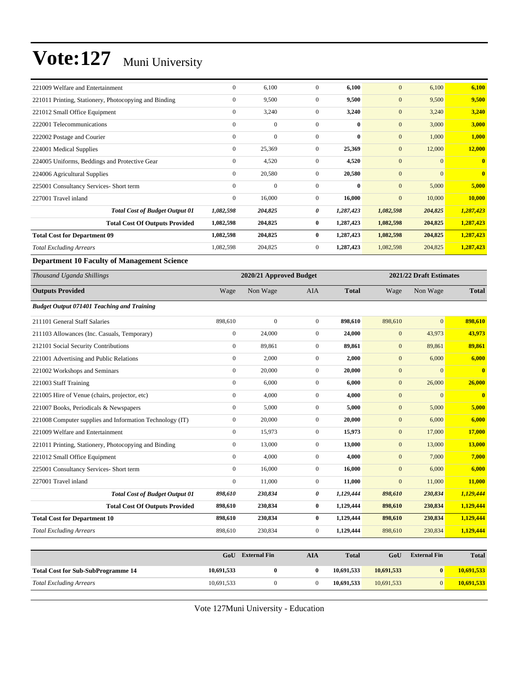| 221009 Welfare and Entertainment                      | $\mathbf{0}$     | 6,100        | $\Omega$     | 6,100        | $\mathbf{0}$     | 6,100          | 6,100          |
|-------------------------------------------------------|------------------|--------------|--------------|--------------|------------------|----------------|----------------|
| 221011 Printing, Stationery, Photocopying and Binding | $\mathbf{0}$     | 9,500        | $\mathbf{0}$ | 9,500        | $\mathbf{0}$     | 9,500          | 9,500          |
| 221012 Small Office Equipment                         | $\mathbf{0}$     | 3,240        | $\mathbf{0}$ | 3,240        | $\mathbf{0}$     | 3,240          | 3,240          |
| 222001 Telecommunications                             | $\mathbf{0}$     | $\mathbf{0}$ | $\Omega$     | $\mathbf{0}$ | $\mathbf{0}$     | 3,000          | 3,000          |
| 222002 Postage and Courier                            | $\mathbf{0}$     | $\mathbf{0}$ | $\mathbf{0}$ | $\bf{0}$     | $\mathbf{0}$     | 1,000          | 1,000          |
| 224001 Medical Supplies                               | $\mathbf{0}$     | 25,369       | $\mathbf{0}$ | 25,369       | $\boldsymbol{0}$ | 12,000         | 12,000         |
| 224005 Uniforms, Beddings and Protective Gear         | $\mathbf{0}$     | 4,520        | $\mathbf{0}$ | 4,520        | $\boldsymbol{0}$ | $\Omega$       | $\overline{0}$ |
| 224006 Agricultural Supplies                          | $\boldsymbol{0}$ | 20,580       | $\mathbf{0}$ | 20,580       | $\boldsymbol{0}$ | $\overline{0}$ | $\overline{0}$ |
| 225001 Consultancy Services- Short term               | $\mathbf{0}$     | $\mathbf{0}$ | $\Omega$     | $\bf{0}$     | $\mathbf{0}$     | 5,000          | 5,000          |
| 227001 Travel inland                                  | $\overline{0}$   | 16,000       | $\mathbf{0}$ | 16,000       | $\mathbf{0}$     | 10,000         | 10,000         |
| <b>Total Cost of Budget Output 01</b>                 | 1,082,598        | 204,825      | 0            | 1,287,423    | 1,082,598        | 204,825        | 1,287,423      |
| <b>Total Cost Of Outputs Provided</b>                 | 1,082,598        | 204,825      | $\bf{0}$     | 1,287,423    | 1,082,598        | 204,825        | 1,287,423      |
| <b>Total Cost for Department 09</b>                   | 1,082,598        | 204,825      | $\bf{0}$     | 1,287,423    | 1,082,598        | 204,825        | 1,287,423      |
| <b>Total Excluding Arrears</b>                        | 1,082,598        | 204,825      | $\mathbf{0}$ | 1,287,423    | 1,082,598        | 204,825        | 1,287,423      |

#### **Department 10 Faculty of Management Science**

| Thousand Uganda Shillings                                |                  | 2020/21 Approved Budget |                  |              |              | 2021/22 Draft Estimates |                         |  |
|----------------------------------------------------------|------------------|-------------------------|------------------|--------------|--------------|-------------------------|-------------------------|--|
| <b>Outputs Provided</b>                                  | Wage             | Non Wage                | <b>AIA</b>       | <b>Total</b> | Wage         | Non Wage                | <b>Total</b>            |  |
| <b>Budget Output 071401 Teaching and Training</b>        |                  |                         |                  |              |              |                         |                         |  |
| 211101 General Staff Salaries                            | 898,610          | $\overline{0}$          | $\mathbf{0}$     | 898,610      | 898,610      | $\mathbf{0}$            | 898,610                 |  |
| 211103 Allowances (Inc. Casuals, Temporary)              | $\boldsymbol{0}$ | 24,000                  | $\overline{0}$   | 24,000       | $\mathbf{0}$ | 43,973                  | 43,973                  |  |
| 212101 Social Security Contributions                     | $\mathbf{0}$     | 89,861                  | $\boldsymbol{0}$ | 89,861       | $\mathbf{0}$ | 89,861                  | 89,861                  |  |
| 221001 Advertising and Public Relations                  | $\mathbf{0}$     | 2,000                   | $\overline{0}$   | 2,000        | $\mathbf{0}$ | 6,000                   | 6,000                   |  |
| 221002 Workshops and Seminars                            | $\mathbf{0}$     | 20,000                  | $\overline{0}$   | 20,000       | $\mathbf{0}$ | $\mathbf{0}$            | $\overline{\mathbf{0}}$ |  |
| 221003 Staff Training                                    | $\mathbf{0}$     | 6,000                   | $\overline{0}$   | 6,000        | $\mathbf{0}$ | 26,000                  | 26,000                  |  |
| 221005 Hire of Venue (chairs, projector, etc)            | $\mathbf{0}$     | 4,000                   | $\overline{0}$   | 4,000        | $\mathbf{0}$ | $\mathbf{0}$            | $\overline{\mathbf{0}}$ |  |
| 221007 Books, Periodicals & Newspapers                   | $\mathbf{0}$     | 5,000                   | $\boldsymbol{0}$ | 5,000        | $\mathbf{0}$ | 5,000                   | 5,000                   |  |
| 221008 Computer supplies and Information Technology (IT) | $\boldsymbol{0}$ | 20,000                  | $\boldsymbol{0}$ | 20,000       | $\mathbf{0}$ | 6,000                   | 6,000                   |  |
| 221009 Welfare and Entertainment                         | $\boldsymbol{0}$ | 15,973                  | $\boldsymbol{0}$ | 15,973       | $\mathbf{0}$ | 17,000                  | 17,000                  |  |
| 221011 Printing, Stationery, Photocopying and Binding    | $\mathbf{0}$     | 13,000                  | $\overline{0}$   | 13,000       | $\mathbf{0}$ | 13,000                  | 13,000                  |  |
| 221012 Small Office Equipment                            | $\mathbf{0}$     | 4,000                   | $\boldsymbol{0}$ | 4.000        | $\mathbf{0}$ | 7,000                   | 7,000                   |  |
| 225001 Consultancy Services- Short term                  | $\mathbf{0}$     | 16,000                  | $\overline{0}$   | 16,000       | $\mathbf{0}$ | 6,000                   | 6,000                   |  |
| 227001 Travel inland                                     | $\theta$         | 11,000                  | $\overline{0}$   | 11,000       | $\mathbf{0}$ | 11,000                  | 11,000                  |  |
| <b>Total Cost of Budget Output 01</b>                    | 898,610          | 230,834                 | 0                | 1,129,444    | 898,610      | 230,834                 | 1,129,444               |  |
| <b>Total Cost Of Outputs Provided</b>                    | 898,610          | 230,834                 | 0                | 1,129,444    | 898,610      | 230,834                 | 1,129,444               |  |
| <b>Total Cost for Department 10</b>                      | 898,610          | 230,834                 | 0                | 1,129,444    | 898,610      | 230,834                 | 1,129,444               |  |
| <b>Total Excluding Arrears</b>                           | 898,610          | 230,834                 | $\boldsymbol{0}$ | 1,129,444    | 898,610      | 230,834                 | 1,129,444               |  |
|                                                          |                  |                         |                  |              |              |                         |                         |  |
|                                                          | GoU              | <b>External Fin</b>     | <b>AIA</b>       | <b>Total</b> | GoU          | <b>External Fin</b>     | <b>Total</b>            |  |
| <b>Total Cost for Sub-SubProgramme 14</b>                | 10,691,533       | $\bf{0}$                | $\bf{0}$         | 10,691,533   | 10,691,533   | $\bf{0}$                | 10,691,533              |  |
| <b>Total Excluding Arrears</b>                           | 10,691,533       | $\mathbf{0}$            | $\mathbf{0}$     | 10,691,533   | 10,691,533   | $\overline{0}$          | 10,691,533              |  |